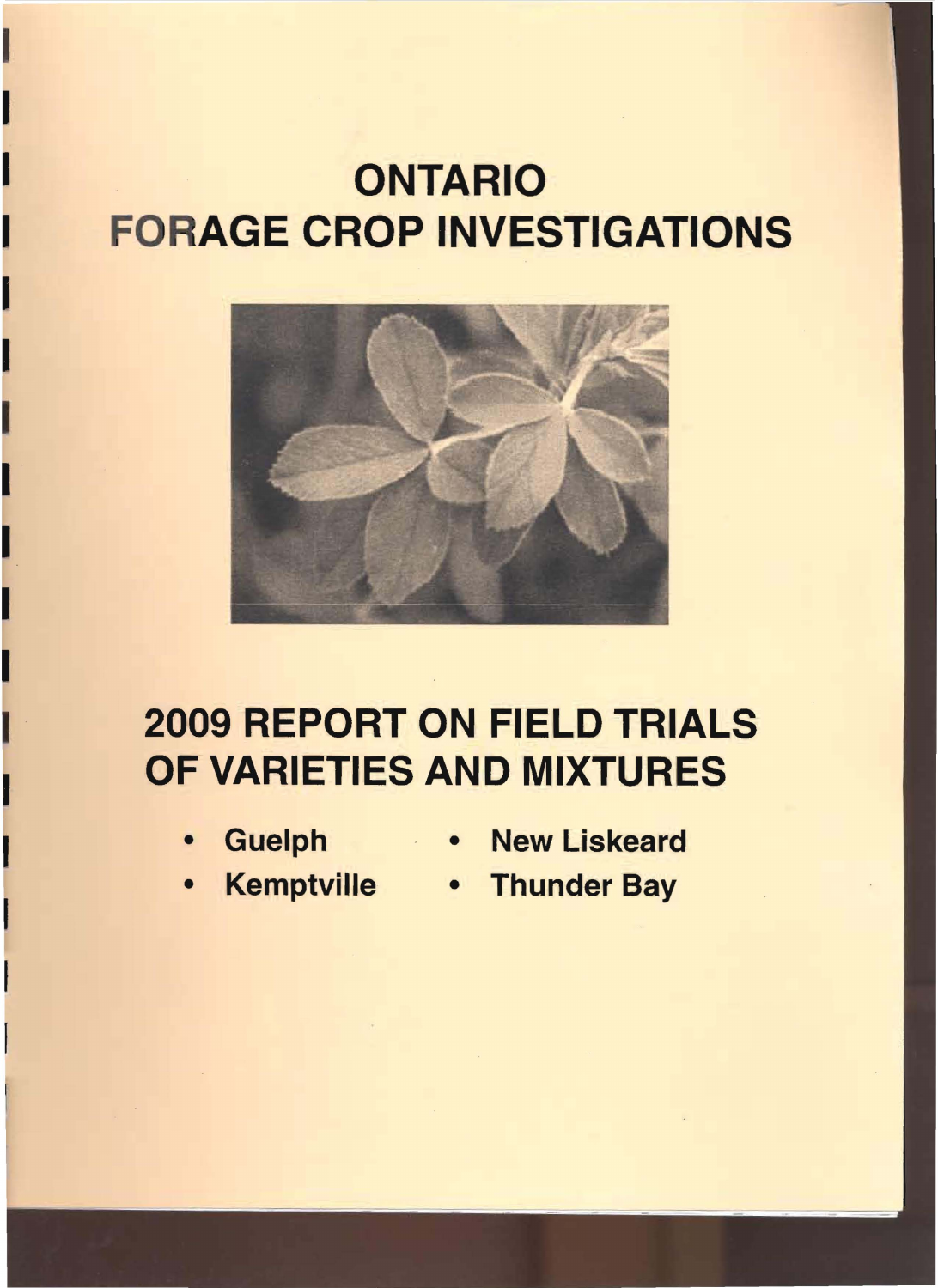# **ONTARIO FORAGE CROP INVESTIGATIONS**



# 2009 REPORT ON FIELD TRIALS OF VARIETIES AND MIXTURES

- 
- Guelph New Liskeard
- 
- Kemptville Thunder Bay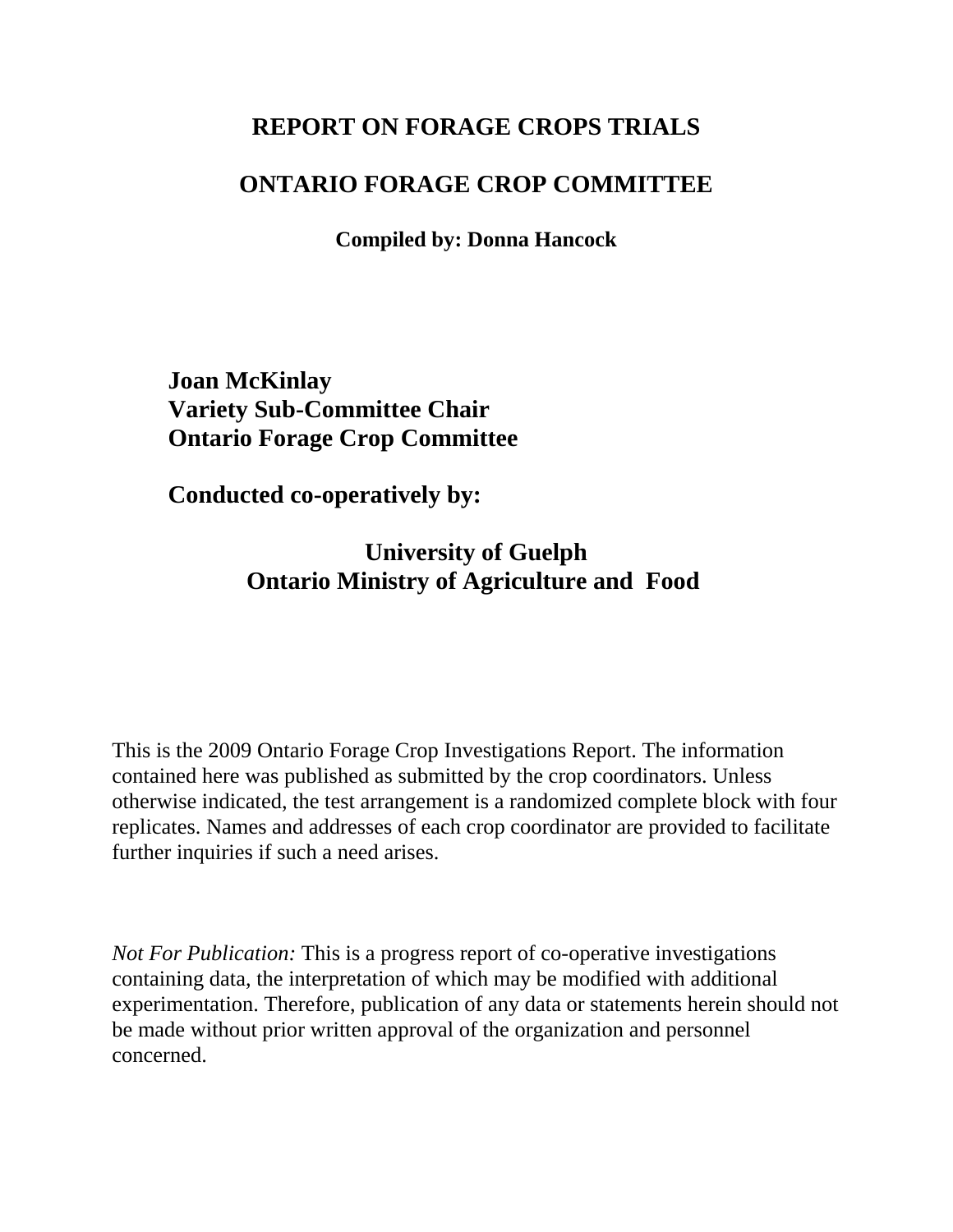# **REPORT ON FORAGE CROPS TRIALS**

# **ONTARIO FORAGE CROP COMMITTEE**

**Compiled by: Donna Hancock**

**Joan McKinlay Variety Sub-Committee Chair Ontario Forage Crop Committee**

**Conducted co-operatively by:**

**University of Guelph Ontario Ministry of Agriculture and Food** 

This is the 2009 Ontario Forage Crop Investigations Report. The information contained here was published as submitted by the crop coordinators. Unless otherwise indicated, the test arrangement is a randomized complete block with four replicates. Names and addresses of each crop coordinator are provided to facilitate further inquiries if such a need arises.

*Not For Publication:* This is a progress report of co-operative investigations containing data, the interpretation of which may be modified with additional experimentation. Therefore, publication of any data or statements herein should not be made without prior written approval of the organization and personnel concerned.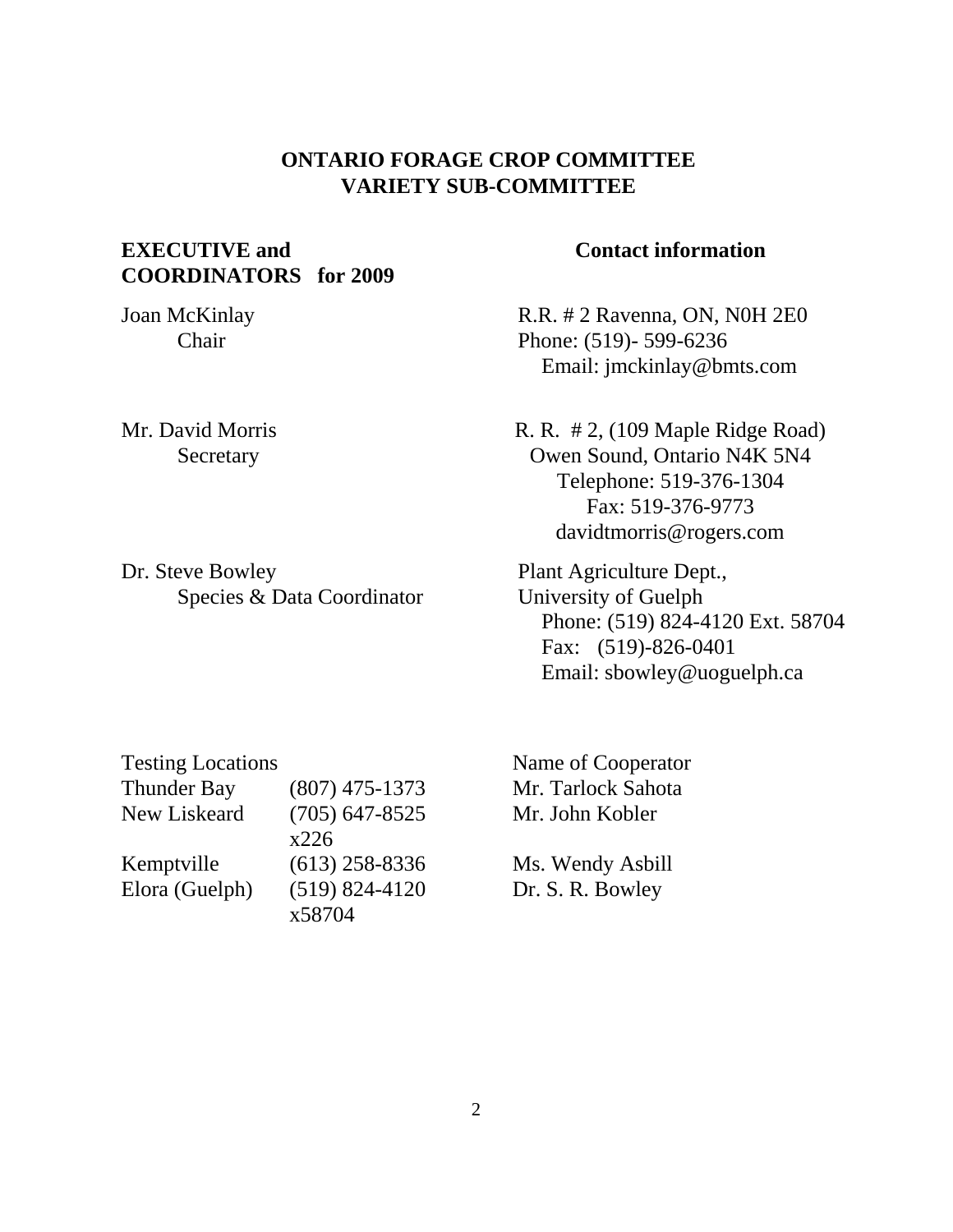## **ONTARIO FORAGE CROP COMMITTEE VARIETY SUB-COMMITTEE**

## **EXECUTIVE and COORDINATORS for 2009**

Joan McKinlay Chair

Mr. David Morris Secretary

Dr. Steve Bowley Species & Data Coordinator

## **Contact information**

 R.R. # 2 Ravenna, ON, N0H 2E0 Phone: (519)- 599-6236 Email: jmckinlay@bmts.com

R. R. # 2, (109 Maple Ridge Road) Owen Sound, Ontario N4K 5N4 Telephone: 519-376-1304 Fax: 519-376-9773 davidtmorris@rogers.com

 Plant Agriculture Dept., University of Guelph Phone: (519) 824-4120 Ext. 58704 Fax: (519)-826-0401 Email: sbowley@uoguelph.ca

| <b>Testing Locations</b> |                    |
|--------------------------|--------------------|
| <b>Thunder Bay</b>       | $(807)$ 475-1373   |
| New Liskeard             | $(705)$ 647-8525   |
|                          | x226               |
| Kemptville               | $(613)$ 258-8336   |
| Elora (Guelph)           | $(519) 824 - 4120$ |
|                          | x58704             |

 Name of Cooperator Mr. Tarlock Sahota Mr. John Kobler

 Ms. Wendy Asbill Dr. S. R. Bowley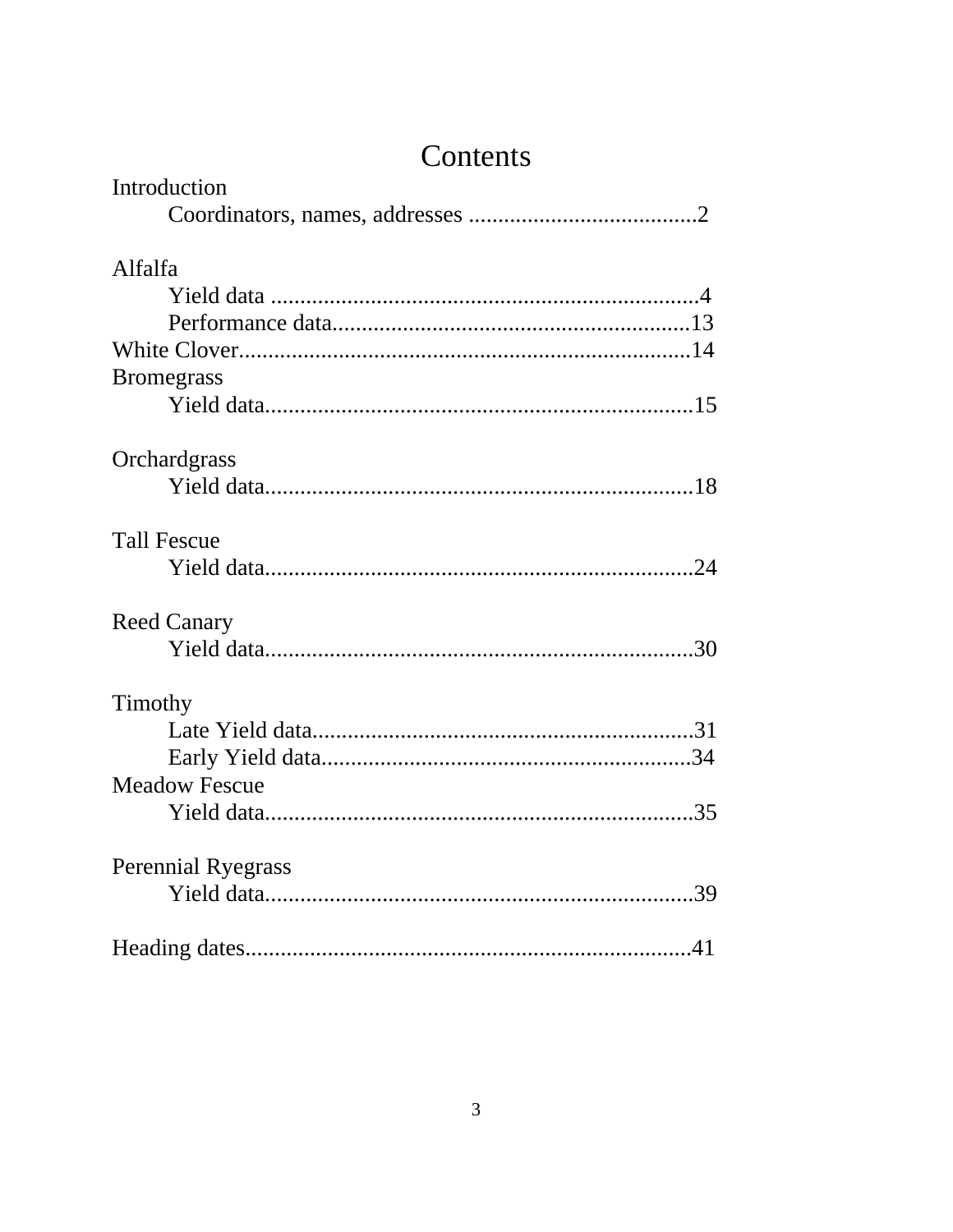| Introduction              |
|---------------------------|
|                           |
| Alfalfa                   |
|                           |
|                           |
|                           |
| <b>Bromegrass</b>         |
|                           |
|                           |
| Orchardgrass              |
|                           |
|                           |
| <b>Tall Fescue</b>        |
|                           |
| <b>Reed Canary</b>        |
|                           |
|                           |
| Timothy                   |
|                           |
|                           |
| <b>Meadow Fescue</b>      |
|                           |
| <b>Perennial Ryegrass</b> |
|                           |
|                           |
|                           |

# Contents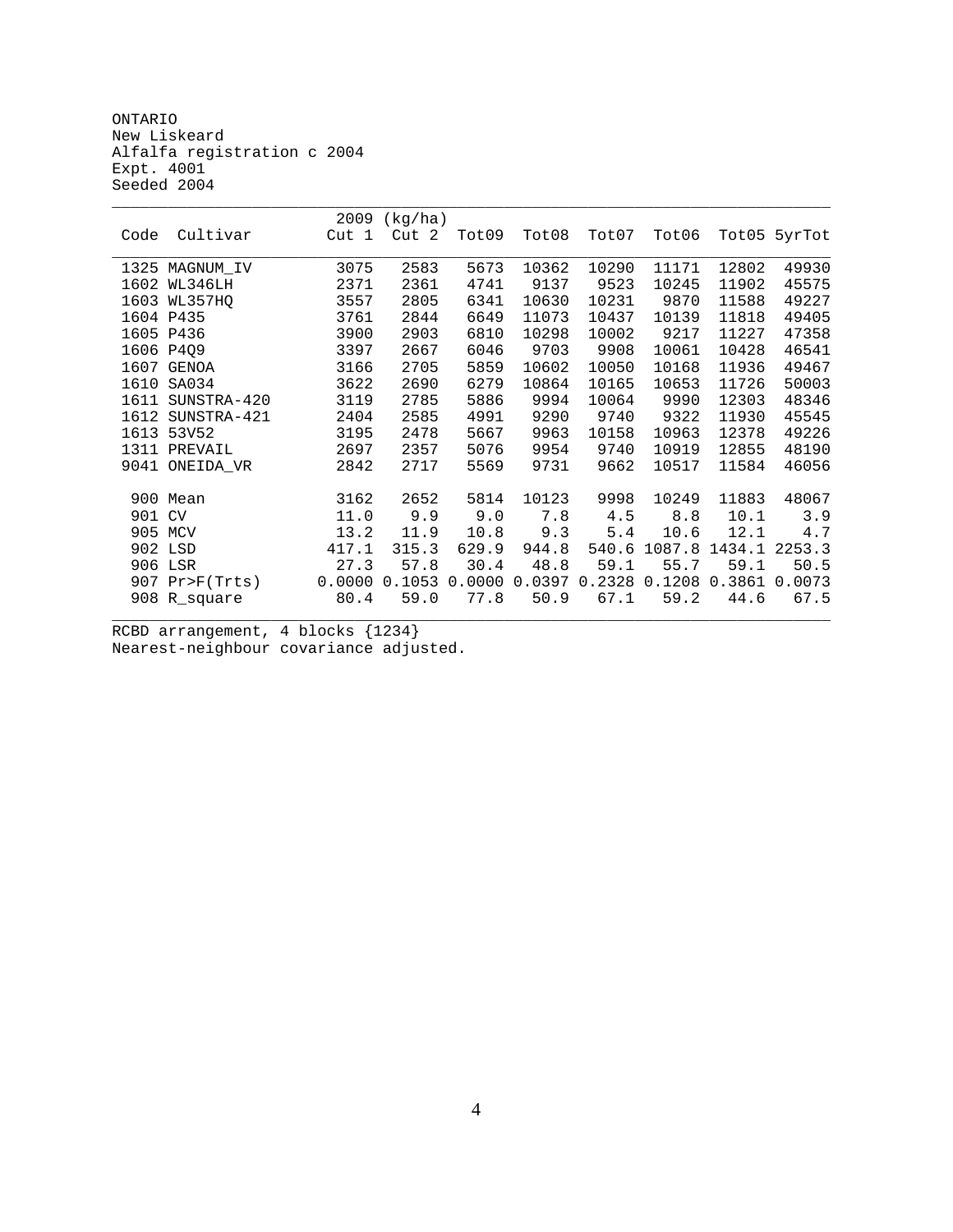ONTARIO New Liskeard Alfalfa registration c 2004 Expt. 4001 Seeded 2004

|      |                | 2009   | (kq/ha) |        |        |        |        |        |              |
|------|----------------|--------|---------|--------|--------|--------|--------|--------|--------------|
| Code | Cultivar       | Cut 1  | Cut 2   | Tot09  | Tot08  | Tot07  | Tot06  |        | Tot05 5yrTot |
|      |                |        |         |        |        |        |        |        |              |
| 1325 | MAGNUM IV      | 3075   | 2583    | 5673   | 10362  | 10290  | 11171  | 12802  | 49930        |
| 1602 | WL346LH        | 2371   | 2361    | 4741   | 9137   | 9523   | 10245  | 11902  | 45575        |
| 1603 | WL357HQ        | 3557   | 2805    | 6341   | 10630  | 10231  | 9870   | 11588  | 49227        |
|      | 1604 P435      | 3761   | 2844    | 6649   | 11073  | 10437  | 10139  | 11818  | 49405        |
|      | 1605 P436      | 3900   | 2903    | 6810   | 10298  | 10002  | 9217   | 11227  | 47358        |
|      | 1606 P409      | 3397   | 2667    | 6046   | 9703   | 9908   | 10061  | 10428  | 46541        |
| 1607 | GENOA          | 3166   | 2705    | 5859   | 10602  | 10050  | 10168  | 11936  | 49467        |
| 1610 | SA034          | 3622   | 2690    | 6279   | 10864  | 10165  | 10653  | 11726  | 50003        |
| 1611 | SUNSTRA-420    | 3119   | 2785    | 5886   | 9994   | 10064  | 9990   | 12303  | 48346        |
| 1612 | SUNSTRA-421    | 2404   | 2585    | 4991   | 9290   | 9740   | 9322   | 11930  | 45545        |
| 1613 | 53V52          | 3195   | 2478    | 5667   | 9963   | 10158  | 10963  | 12378  | 49226        |
| 1311 | PREVAIL        | 2697   | 2357    | 5076   | 9954   | 9740   | 10919  | 12855  | 48190        |
| 9041 | ONEIDA VR      | 2842   | 2717    | 5569   | 9731   | 9662   | 10517  | 11584  | 46056        |
|      |                |        |         |        |        |        |        |        |              |
|      | 900 Mean       | 3162   | 2652    | 5814   | 10123  | 9998   | 10249  | 11883  | 48067        |
| 901  | CV             | 11.0   | 9.9     | 9.0    | 7.8    | 4.5    | 8.8    | 10.1   | 3.9          |
|      | 905 MCV        | 13.2   | 11.9    | 10.8   | 9.3    | 5.4    | 10.6   | 12.1   | 4.7          |
| 902  | LSD            | 417.1  | 315.3   | 629.9  | 944.8  | 540.6  | 1087.8 | 1434.1 | 2253.3       |
| 906  | LSR            | 27.3   | 57.8    | 30.4   | 48.8   | 59.1   | 55.7   | 59.1   | 50.5         |
|      | 907 Pr>F(Trts) | 0.0000 | 0.1053  | 0.0000 | 0.0397 | 0.2328 | 0.1208 | 0.3861 | 0.0073       |
|      | 908 R_square   | 80.4   | 59.0    | 77.8   | 50.9   | 67.1   | 59.2   | 44.6   | 67.5         |
|      |                |        |         |        |        |        |        |        |              |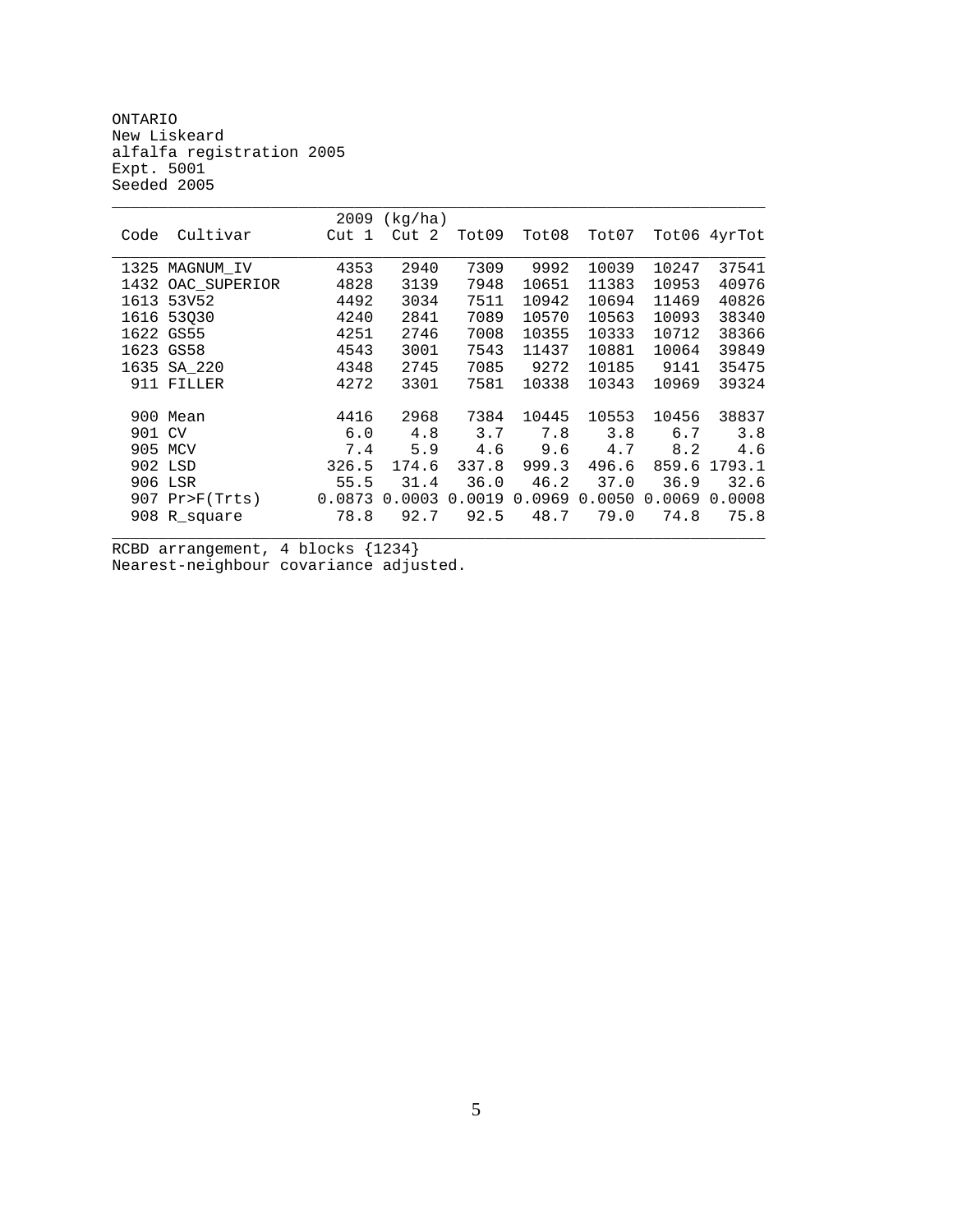ONTARIO New Liskeard alfalfa registration 2005 Expt. 5001 Seeded 2005

|        |                  | 2009     | (kq/ha) |        |        |        |        |              |
|--------|------------------|----------|---------|--------|--------|--------|--------|--------------|
| Code   | Cultivar         | 1<br>Cut | Cut 2   | Tot09  | Tot08  | Tot07  |        | Tot06 4yrTot |
|        |                  |          |         |        |        |        |        |              |
| 1325   | MAGNUM IV        | 4353     | 2940    | 7309   | 9992   | 10039  | 10247  | 37541        |
| 1432   | OAC SUPERIOR     | 4828     | 3139    | 7948   | 10651  | 11383  | 10953  | 40976        |
| 1613   | 53V52            | 4492     | 3034    | 7511   | 10942  | 10694  | 11469  | 40826        |
| 1616   | 53030            | 4240     | 2841    | 7089   | 10570  | 10563  | 10093  | 38340        |
|        | 1622 GS55        | 4251     | 2746    | 7008   | 10355  | 10333  | 10712  | 38366        |
|        | 1623 GS58        | 4543     | 3001    | 7543   | 11437  | 10881  | 10064  | 39849        |
| 1635   | SA 220           | 4348     | 2745    | 7085   | 9272   | 10185  | 9141   | 35475        |
| 911    | FILLER           | 4272     | 3301    | 7581   | 10338  | 10343  | 10969  | 39324        |
|        |                  |          |         |        |        |        |        |              |
|        | 900 Mean         | 4416     | 2968    | 7384   | 10445  | 10553  | 10456  | 38837        |
| 901 CV |                  | 6.0      | 4.8     | 3.7    | 7.8    | 3.8    | 6.7    | 3.8          |
| 905    | MCV              | 7.4      | 5.9     | 4.6    | 9.6    | 4.7    | 8.2    | 4.6          |
|        | 902 LSD          | 326.5    | 174.6   | 337.8  | 999.3  | 496.6  | 859.6  | 1793.1       |
|        | 906 LSR          | 55.5     | 31.4    | 36.0   | 46.2   | 37.0   | 36.9   | 32.6         |
|        | $907$ Pr>F(Trts) | 0.0873   | 0.0003  | 0.0019 | 0.0969 | 0.0050 | 0.0069 | 0.0008       |
|        | 908 R_square     | 78.8     | 92.7    | 92.5   | 48.7   | 79.0   | 74.8   | 75.8         |
|        |                  |          |         |        |        |        |        |              |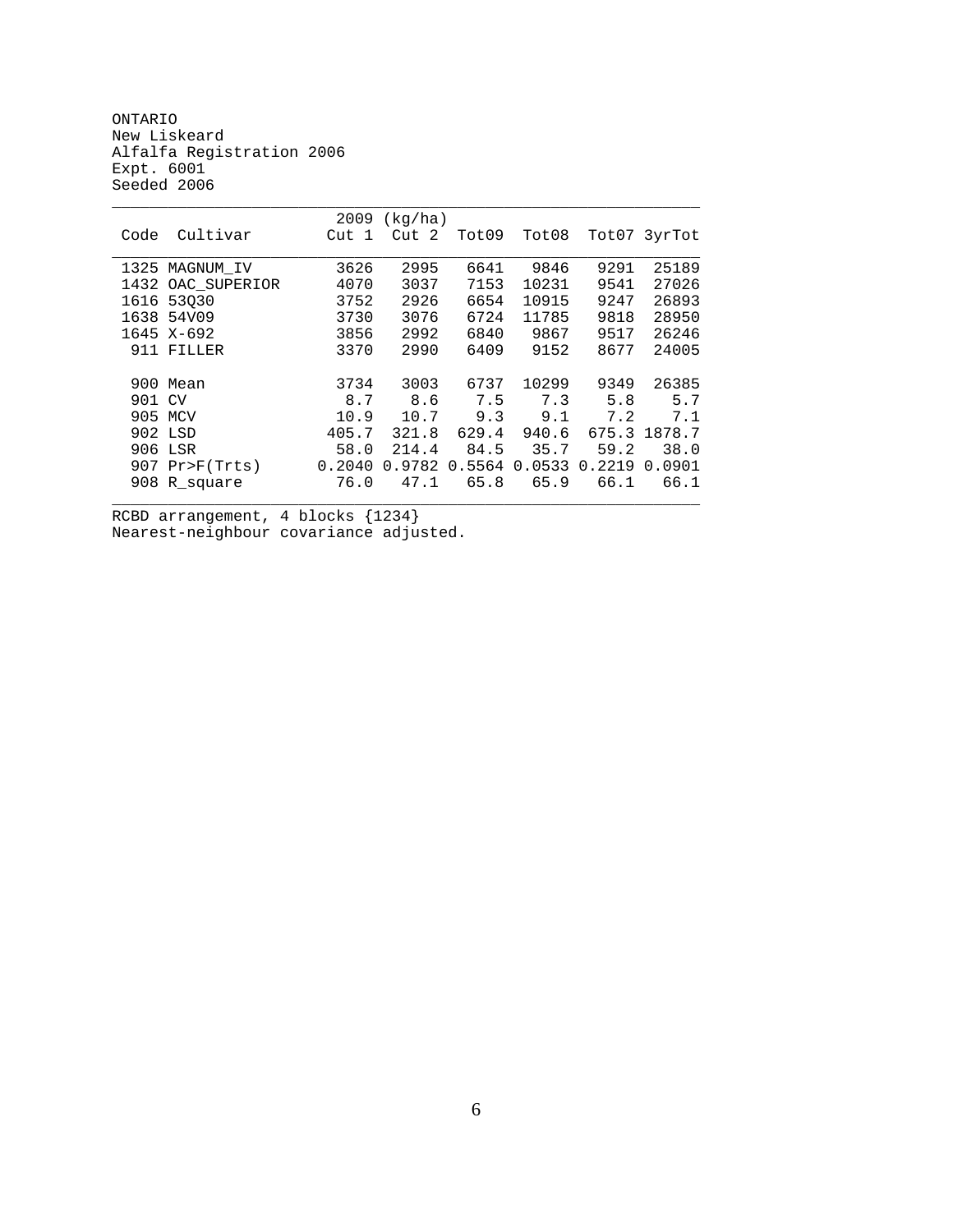ONTARIO New Liskeard Alfalfa Registration 2006 Expt. 6001 Seeded 2006

| 2009<br>(kq/ha)<br>Cultivar<br>Code<br>Cut <sub>2</sub><br>Cut 1 | Tot08<br>Tot09<br>9846<br>6641 | Tot07 3yrTot<br>25189<br>9291 |
|------------------------------------------------------------------|--------------------------------|-------------------------------|
|                                                                  |                                |                               |
|                                                                  |                                |                               |
|                                                                  |                                |                               |
| 3626<br>2995<br>1325 MAGNUM IV                                   |                                |                               |
| 4070<br>3037<br>OAC_SUPERIOR<br>1432                             | 7153<br>10231                  | 9541<br>27026                 |
| 1616 53030<br>3752<br>2926                                       | 6654<br>10915                  | 26893<br>9247                 |
| 54V09<br>1638<br>3730<br>3076                                    | 6724<br>11785                  | 9818<br>28950                 |
| 1645 X-692<br>3856<br>2992                                       | 6840<br>9867                   | 26246<br>9517                 |
| 3370<br>2990<br>911 FILLER                                       | 6409<br>9152                   | 24005<br>8677                 |
|                                                                  |                                |                               |
| 3003<br>3734<br>900 Mean                                         | 6737<br>10299                  | 26385<br>9349                 |
| 8.7<br>8.6<br>901 CV                                             | 7.5<br>7.3                     | 5.7<br>5.8                    |
| 10.9<br>10.7<br>905<br>MCV                                       | 9.3<br>9.1                     | 7.1<br>7.2                    |
| 405.7<br>321.8<br>902 LSD                                        | 629.4<br>940.6                 | 1878.7<br>675.3               |
| 58.0<br>906 LSR<br>214.4                                         | 84.5<br>35.7                   | 38.0<br>59.2                  |
| 0.2040<br>907 Pr>F(Trts)<br>0.9782                               | 0.5564<br>0.0533               | 0.0901<br>0.2219              |
| 76.0<br>47.1<br>908 R square                                     | 65.8<br>65.9                   | 66.1<br>66.1                  |
|                                                                  |                                |                               |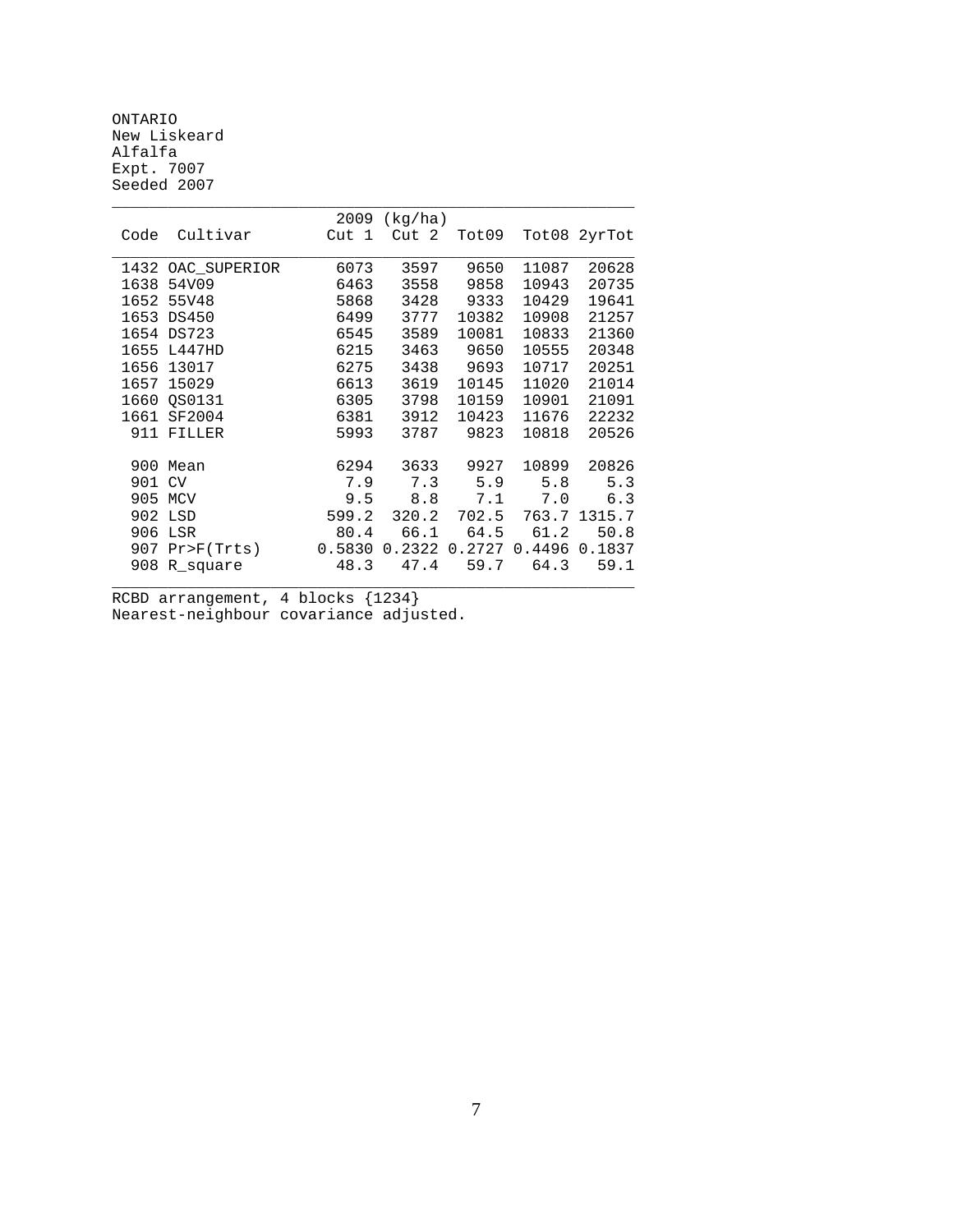ONTARIO New Liskeard Alfalfa Expt. 7007 Seeded 2007

|      |                  | 2009                                   | (kg/ha) |           |       |              |
|------|------------------|----------------------------------------|---------|-----------|-------|--------------|
| Code | Cultivar         | Cut 1                                  | Cut 2   | Tot09     |       | Tot08 2yrTot |
|      |                  |                                        |         |           |       |              |
| 1432 | OAC SUPERIOR     | 6073                                   | 3597    | 9650      | 11087 | 20628        |
| 1638 | 54V09            | 6463                                   | 3558    | 9858      | 10943 | 20735        |
| 1652 | 55V48            | 5868                                   | 3428    | 9333      | 10429 | 19641        |
| 1653 | DS450            | 6499                                   | 3777    | 10382     | 10908 | 21257        |
| 1654 | <b>DS723</b>     | 6545                                   | 3589    | 10081     | 10833 | 21360        |
| 1655 | L447HD           | 6215                                   | 3463    | 9650      | 10555 | 20348        |
| 1656 | 13017            | 6275                                   | 3438    | 9693      | 10717 | 20251        |
| 1657 | 15029            | 6613                                   | 3619    | 10145     | 11020 | 21014        |
| 1660 | OS0131           | 6305                                   | 3798    | 10159     | 10901 | 21091        |
| 1661 | SF2004           | 6381                                   | 3912    | 10423     | 11676 | 22232        |
| 911  | FILLER           | 5993                                   | 3787    | 9823      | 10818 | 20526        |
|      |                  |                                        |         |           |       |              |
| 900  | Mean             | 6294                                   | 3633    | 9927      | 10899 | 20826        |
| 901  | <b>CV</b>        | 7.9                                    | 7.3     | 5.9       | 5.8   | 5.3          |
| 905  | MCV              | 9.5                                    | 8.8     | 7.1       | 7.0   | 6.3          |
| 902  | LSD              | 599.2                                  | 320.2   | 702.5     |       | 763.7 1315.7 |
| 906  | LSR              | 80.4                                   |         | 66.1 64.5 | 61.2  | 50.8         |
|      | $907$ Pr>F(Trts) | 0.5830  0.2322  0.2727  0.4496  0.1837 |         |           |       |              |
| 908  | R_square         | 48.3                                   | 47.4    | 59.7      | 64.3  | 59.1         |
|      |                  |                                        |         |           |       |              |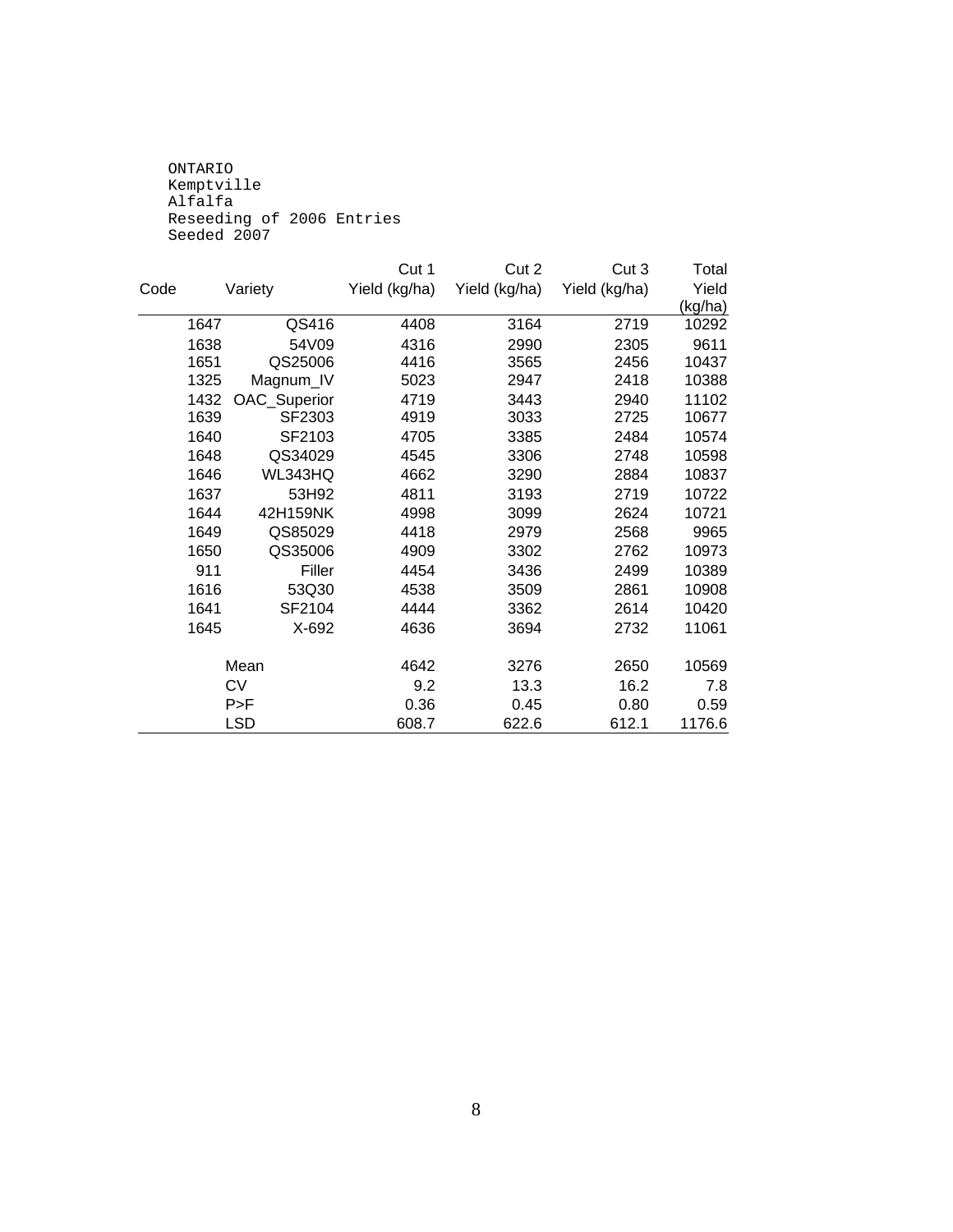ONTARIO Kemptville Alfalfa Reseeding of 2006 Entries Seeded 2007

|      |      |              | Cut 1         | Cut 2         | Cut 3         | Total   |
|------|------|--------------|---------------|---------------|---------------|---------|
| Code |      | Variety      | Yield (kg/ha) | Yield (kg/ha) | Yield (kg/ha) | Yield   |
|      |      |              |               |               |               | (kg/ha) |
|      | 1647 | QS416        | 4408          | 3164          | 2719          | 10292   |
|      | 1638 | 54V09        | 4316          | 2990          | 2305          | 9611    |
|      | 1651 | QS25006      | 4416          | 3565          | 2456          | 10437   |
|      | 1325 | Magnum_IV    | 5023          | 2947          | 2418          | 10388   |
|      | 1432 | OAC_Superior | 4719          | 3443          | 2940          | 11102   |
|      | 1639 | SF2303       | 4919          | 3033          | 2725          | 10677   |
|      | 1640 | SF2103       | 4705          | 3385          | 2484          | 10574   |
|      | 1648 | QS34029      | 4545          | 3306          | 2748          | 10598   |
|      | 1646 | WL343HQ      | 4662          | 3290          | 2884          | 10837   |
|      | 1637 | 53H92        | 4811          | 3193          | 2719          | 10722   |
|      | 1644 | 42H159NK     | 4998          | 3099          | 2624          | 10721   |
|      | 1649 | QS85029      | 4418          | 2979          | 2568          | 9965    |
|      | 1650 | QS35006      | 4909          | 3302          | 2762          | 10973   |
|      | 911  | Filler       | 4454          | 3436          | 2499          | 10389   |
|      | 1616 | 53Q30        | 4538          | 3509          | 2861          | 10908   |
|      | 1641 | SF2104       | 4444          | 3362          | 2614          | 10420   |
|      | 1645 | X-692        | 4636          | 3694          | 2732          | 11061   |
|      |      |              |               |               |               |         |
|      |      | Mean         | 4642          | 3276          | 2650          | 10569   |
|      |      | <b>CV</b>    | 9.2           | 13.3          | 16.2          | 7.8     |
|      |      | P > F        | 0.36          | 0.45          | 0.80          | 0.59    |
|      |      | <b>LSD</b>   | 608.7         | 622.6         | 612.1         | 1176.6  |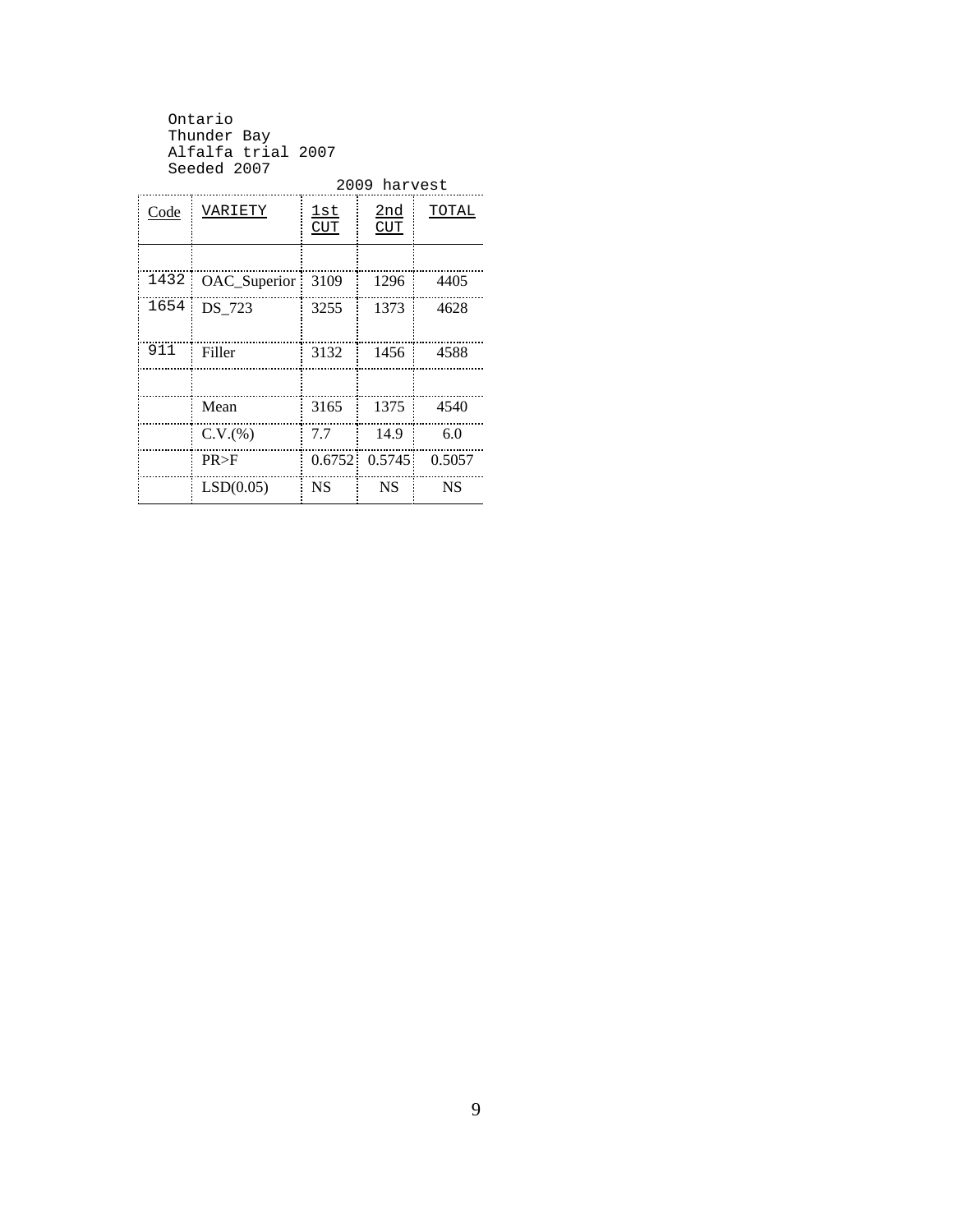Ontario Thunder Bay Alfalfa trial 2007 Seeded 2007

|      | harvest      |            |            |           |
|------|--------------|------------|------------|-----------|
| Code | VARIETY      | lst<br>CUT | 2nd<br>CUT | TOTAL     |
|      |              |            |            |           |
| 1432 | OAC_Superior | 3109       | 1296       | 4405      |
| 1654 | DS_723       | 3255       | 1373       | 4628      |
| 911  | Filler       | 3132       | 1456       | 4588      |
|      |              |            |            |           |
|      | Mean         | 3165       | 1375       | 4540      |
|      | C.V.(%)      | 7.7        | 14.9       | 6.0       |
|      | PR > F       | 0.6752:    | 0.5745     | 0.5057    |
|      | LSD(0.05)    | <b>NS</b>  | <b>NS</b>  | <b>NS</b> |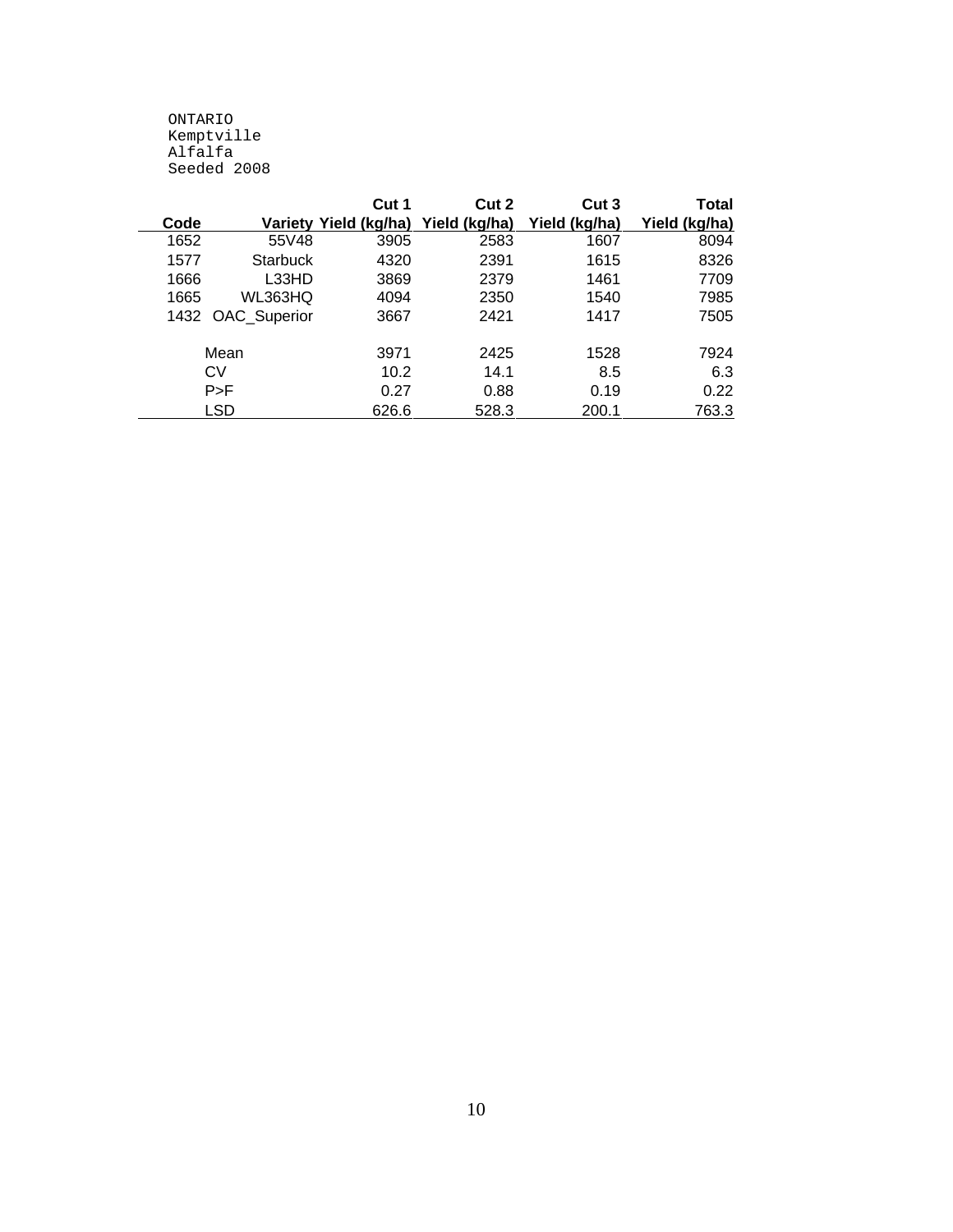ONTARIO Kemptville Alfalfa Seeded 2008

|      |                   | Cut 1                 | Cut 2         | Cut 3         | Total         |
|------|-------------------|-----------------------|---------------|---------------|---------------|
| Code |                   | Variety Yield (kg/ha) | Yield (kg/ha) | Yield (kg/ha) | Yield (kg/ha) |
| 1652 | 55V48             | 3905                  | 2583          | 1607          | 8094          |
| 1577 | <b>Starbuck</b>   | 4320                  | 2391          | 1615          | 8326          |
| 1666 | L33HD             | 3869                  | 2379          | 1461          | 7709          |
| 1665 | WL363HQ           | 4094                  | 2350          | 1540          | 7985          |
|      | 1432 OAC Superior | 3667                  | 2421          | 1417          | 7505          |
|      |                   |                       |               |               |               |
|      | Mean              | 3971                  | 2425          | 1528          | 7924          |
|      | CV                | 10.2                  | 14.1          | 8.5           | 6.3           |
|      | P > F             | 0.27                  | 0.88          | 0.19          | 0.22          |
|      | LSD               | 626.6                 | 528.3         | 200.1         | 763.3         |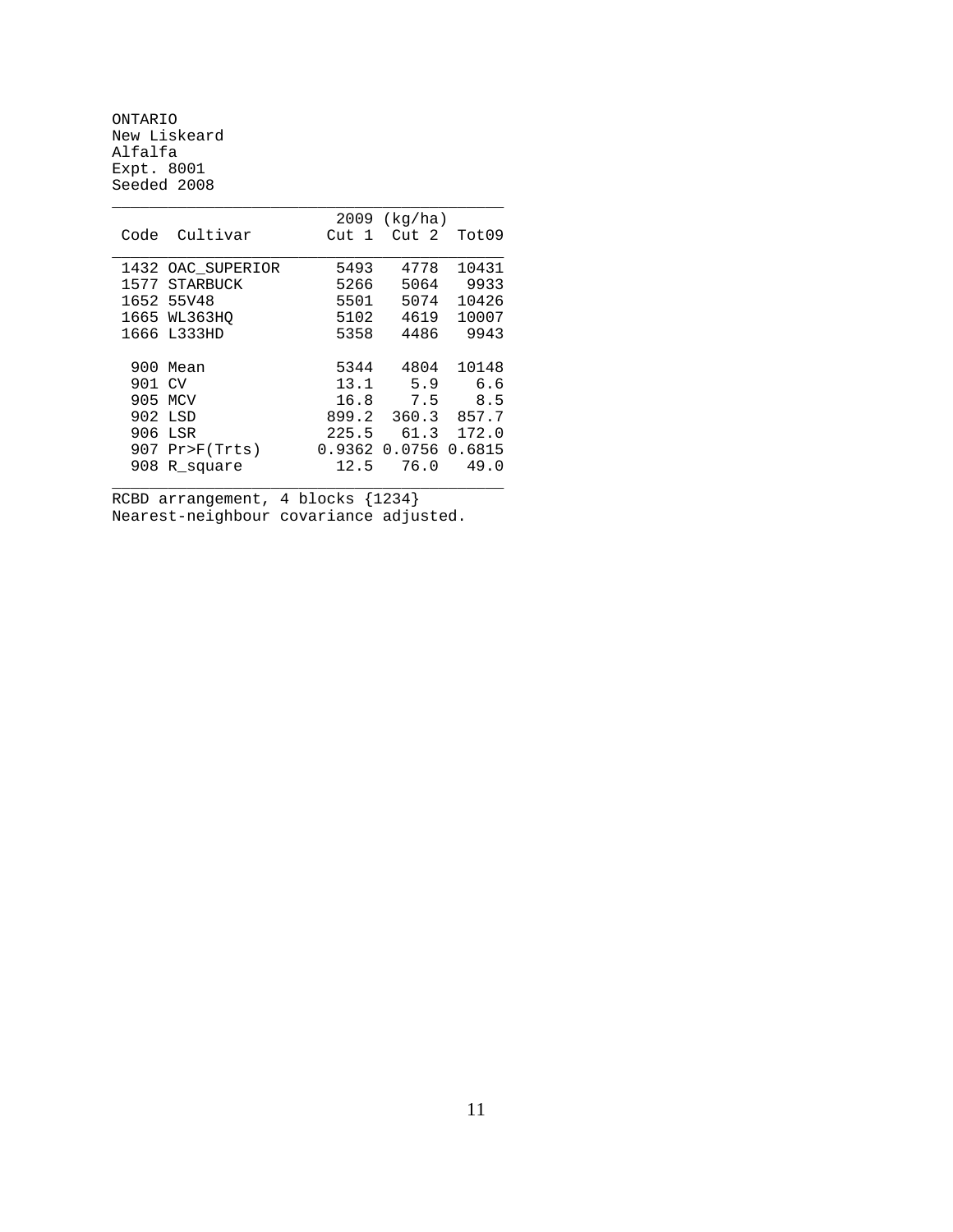ONTARIO New Liskeard Alfalfa Expt. 8001 Seeded 2008

|      |                 | 2009             | (kq/ha)          |        |
|------|-----------------|------------------|------------------|--------|
| Code | Cultivar        | Cut <sub>1</sub> | Cut <sub>2</sub> | Tot09  |
|      |                 |                  |                  |        |
| 1432 | OAC SUPERIOR    | 5493             | 4778             | 10431  |
| 1577 | <b>STARBUCK</b> | 5266             | 5064             | 9933   |
|      | 1652 55V48      | 5501             | 5074             | 10426  |
|      | 1665 WL363HO    | 5102             | 4619             | 10007  |
|      | 1666 L333HD     | 5358             | 4486             | 9943   |
|      |                 |                  |                  |        |
| 900  | Mean            | 5344             | 4804             | 10148  |
| 901  | <b>CV</b>       | 13.1             | 5.9              | 6.6    |
| 905  | <b>MCV</b>      | 16.8             | 7.5              | 8.5    |
| 902  | LSD             | 899.2            | 360.3            | 857.7  |
| 906  | LSR             | 225.5            | 61.3             | 172.0  |
| 907  | Pr > F(Trts)    | 0.9362           | 0.0756           | 0.6815 |
| 908  | R square        | 12.5             | 76.0             | 49.0   |
|      |                 |                  |                  |        |
|      |                 |                  |                  |        |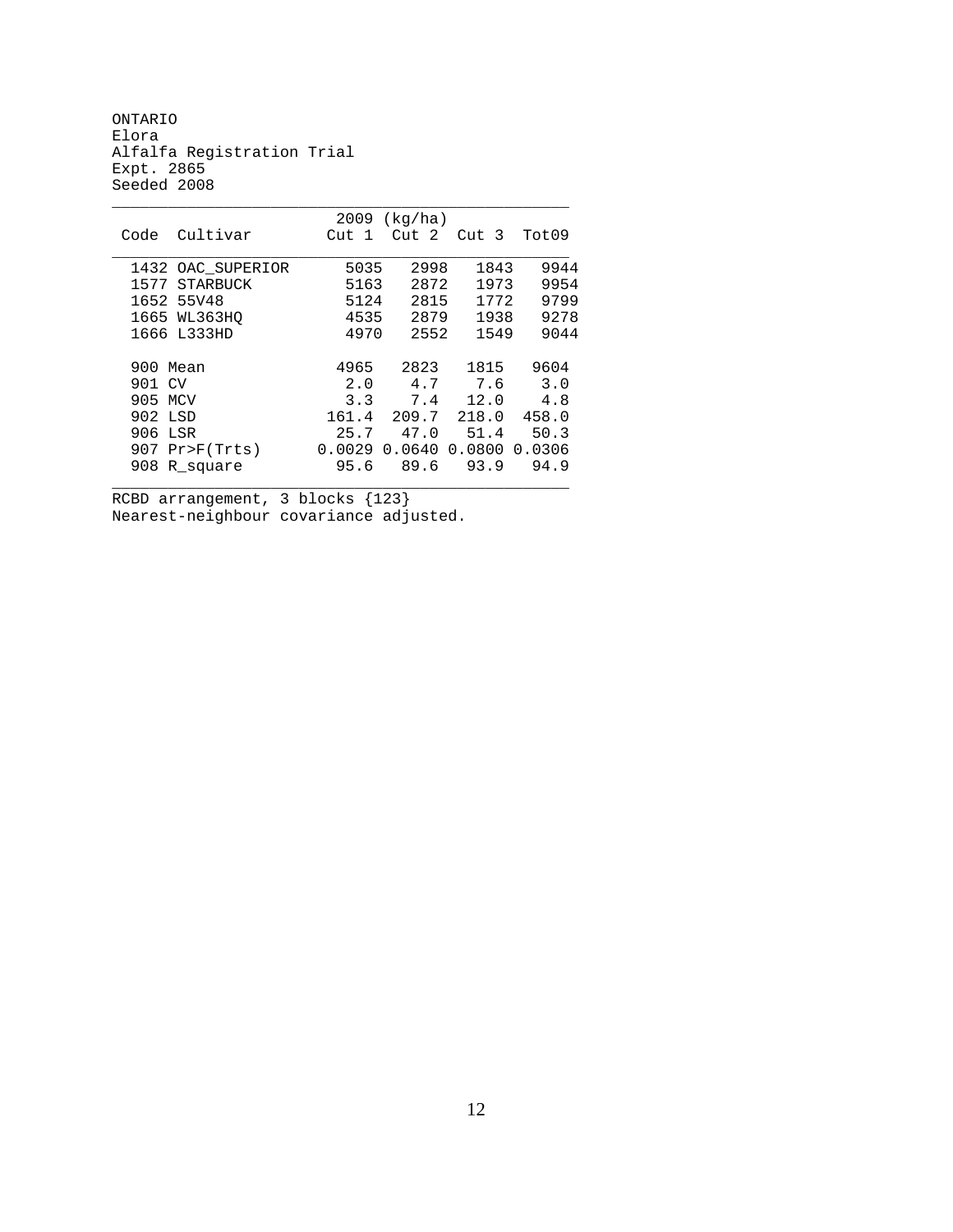ONTARIO Elora Alfalfa Registration Trial Expt. 2865 Seeded 2008

|                         | 2009   | (kq/ha)          |                  |        |
|-------------------------|--------|------------------|------------------|--------|
| Cultivar<br>Code        | Cut 1  | Cut <sub>2</sub> | Cut <sub>3</sub> | Tot09  |
| OAC_SUPERIOR<br>1432    | 5035   | 2998             | 1843             | 9944   |
| 1577<br><b>STARBUCK</b> | 5163   | 2872             | 1973             | 9954   |
| 1652 55V48              | 5124   | 2815             | 1772             | 9799   |
| 1665 WL363HO            | 4535   | 2879             | 1938             | 9278   |
| 1666 L333HD             | 4970   | 2552             | 1549             | 9044   |
|                         |        |                  |                  |        |
| 900<br>Mean             | 4965   | 2823             | 1815             | 9604   |
| 901<br>CV               | 2.0    | 4.7              | 7.6              | 3.0    |
| 905 MCV                 | 3.3    | 7.4              | 12.0             | 4.8    |
| 902 LSD                 | 161.4  | 209.7            | 218.0            | 458.0  |
| 906<br>LSR              | 25.7   | 47.0             | 51.4             | 50.3   |
| $907$ Pr>F(Trts)        | 0.0029 | 0.0640           | 0.0800           | 0.0306 |
| 908<br>R square         | 95.6   | 89.6             | 93.9             | 94.9   |
|                         |        |                  |                  |        |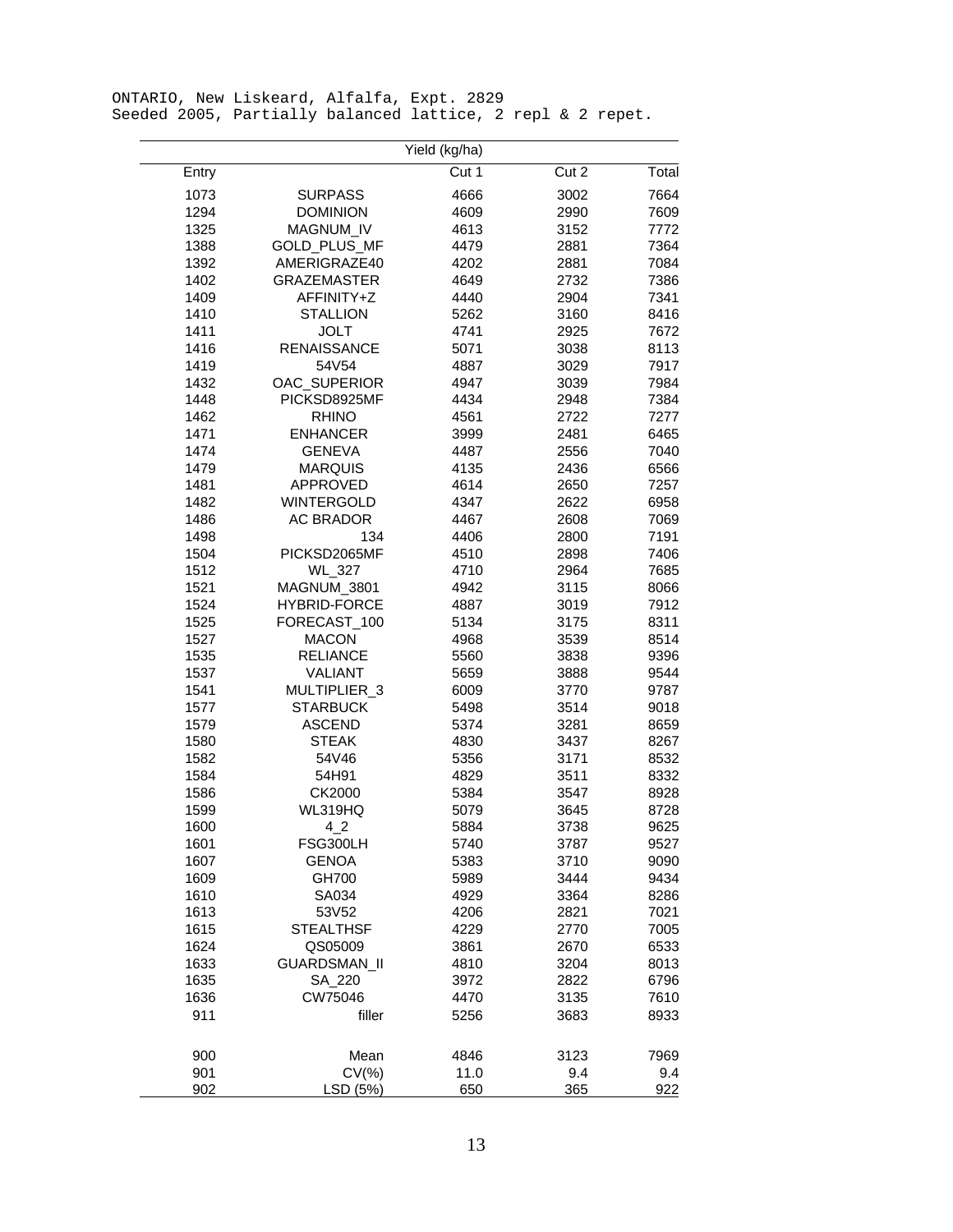ONTARIO, New Liskeard, Alfalfa, Expt. 2829 Seeded 2005, Partially balanced lattice, 2 repl & 2 repet.

|       |                     | Yield (kg/ha) |       |       |  |  |
|-------|---------------------|---------------|-------|-------|--|--|
| Entry |                     | Cut 1         | Cut 2 | Total |  |  |
| 1073  | <b>SURPASS</b>      | 4666          | 3002  | 7664  |  |  |
| 1294  | <b>DOMINION</b>     | 4609          | 2990  | 7609  |  |  |
| 1325  | MAGNUM_IV           | 4613          | 3152  | 7772  |  |  |
| 1388  | GOLD_PLUS_MF        | 4479          | 2881  | 7364  |  |  |
| 1392  | AMERIGRAZE40        | 4202          | 2881  | 7084  |  |  |
| 1402  | <b>GRAZEMASTER</b>  | 4649          | 2732  | 7386  |  |  |
| 1409  | AFFINITY+Z          | 4440          | 2904  | 7341  |  |  |
| 1410  | <b>STALLION</b>     | 5262          | 3160  | 8416  |  |  |
| 1411  | <b>JOLT</b>         | 4741          | 2925  | 7672  |  |  |
| 1416  | <b>RENAISSANCE</b>  | 5071          | 3038  | 8113  |  |  |
| 1419  | 54V54               | 4887          | 3029  | 7917  |  |  |
| 1432  | OAC_SUPERIOR        | 4947          | 3039  | 7984  |  |  |
| 1448  | PICKSD8925MF        | 4434          | 2948  | 7384  |  |  |
| 1462  | <b>RHINO</b>        | 4561          | 2722  | 7277  |  |  |
| 1471  | <b>ENHANCER</b>     | 3999          | 2481  | 6465  |  |  |
| 1474  | <b>GENEVA</b>       | 4487          | 2556  | 7040  |  |  |
| 1479  | <b>MARQUIS</b>      | 4135          | 2436  | 6566  |  |  |
| 1481  | APPROVED            | 4614          | 2650  | 7257  |  |  |
| 1482  | <b>WINTERGOLD</b>   | 4347          | 2622  | 6958  |  |  |
| 1486  | <b>AC BRADOR</b>    | 4467          | 2608  | 7069  |  |  |
| 1498  | 134                 | 4406          | 2800  | 7191  |  |  |
| 1504  | PICKSD2065MF        | 4510          | 2898  | 7406  |  |  |
| 1512  | <b>WL_327</b>       | 4710          | 2964  | 7685  |  |  |
| 1521  | MAGNUM_3801         | 4942          | 3115  | 8066  |  |  |
| 1524  | <b>HYBRID-FORCE</b> | 4887          | 3019  | 7912  |  |  |
| 1525  | FORECAST_100        | 5134          | 3175  | 8311  |  |  |
| 1527  | <b>MACON</b>        | 4968          | 3539  | 8514  |  |  |
| 1535  | <b>RELIANCE</b>     | 5560          | 3838  | 9396  |  |  |
| 1537  | <b>VALIANT</b>      | 5659          | 3888  | 9544  |  |  |
| 1541  | MULTIPLIER_3        | 6009          | 3770  | 9787  |  |  |
| 1577  | <b>STARBUCK</b>     | 5498          | 3514  | 9018  |  |  |
| 1579  | <b>ASCEND</b>       | 5374          | 3281  | 8659  |  |  |
| 1580  | <b>STEAK</b>        | 4830          | 3437  | 8267  |  |  |
| 1582  | 54V46               | 5356          | 3171  | 8532  |  |  |
| 1584  | 54H91               | 4829          | 3511  | 8332  |  |  |
| 1586  | CK2000              | 5384          | 3547  | 8928  |  |  |
| 1599  | WL319HQ             | 5079          | 3645  | 8728  |  |  |
| 1600  | 42                  | 5884          | 3738  | 9625  |  |  |
| 1601  | FSG300LH            | 5740          | 3787  | 9527  |  |  |
| 1607  | <b>GENOA</b>        | 5383          | 3710  | 9090  |  |  |
| 1609  | GH700               | 5989          | 3444  | 9434  |  |  |
| 1610  | SA034               | 4929          | 3364  | 8286  |  |  |
| 1613  | 53V52               | 4206          | 2821  | 7021  |  |  |
| 1615  | <b>STEALTHSF</b>    | 4229          | 2770  | 7005  |  |  |
| 1624  | QS05009             | 3861          | 2670  | 6533  |  |  |
| 1633  | GUARDSMAN_II        | 4810          | 3204  | 8013  |  |  |
| 1635  | SA_220              | 3972          | 2822  | 6796  |  |  |
| 1636  | CW75046             | 4470          | 3135  | 7610  |  |  |
| 911   | filler              | 5256          | 3683  | 8933  |  |  |
| 900   | Mean                | 4846          | 3123  | 7969  |  |  |
| 901   | $CV(\% )$           | 11.0          | 9.4   | 9.4   |  |  |
| 902   | LSD (5%)            | 650           | 365   | 922   |  |  |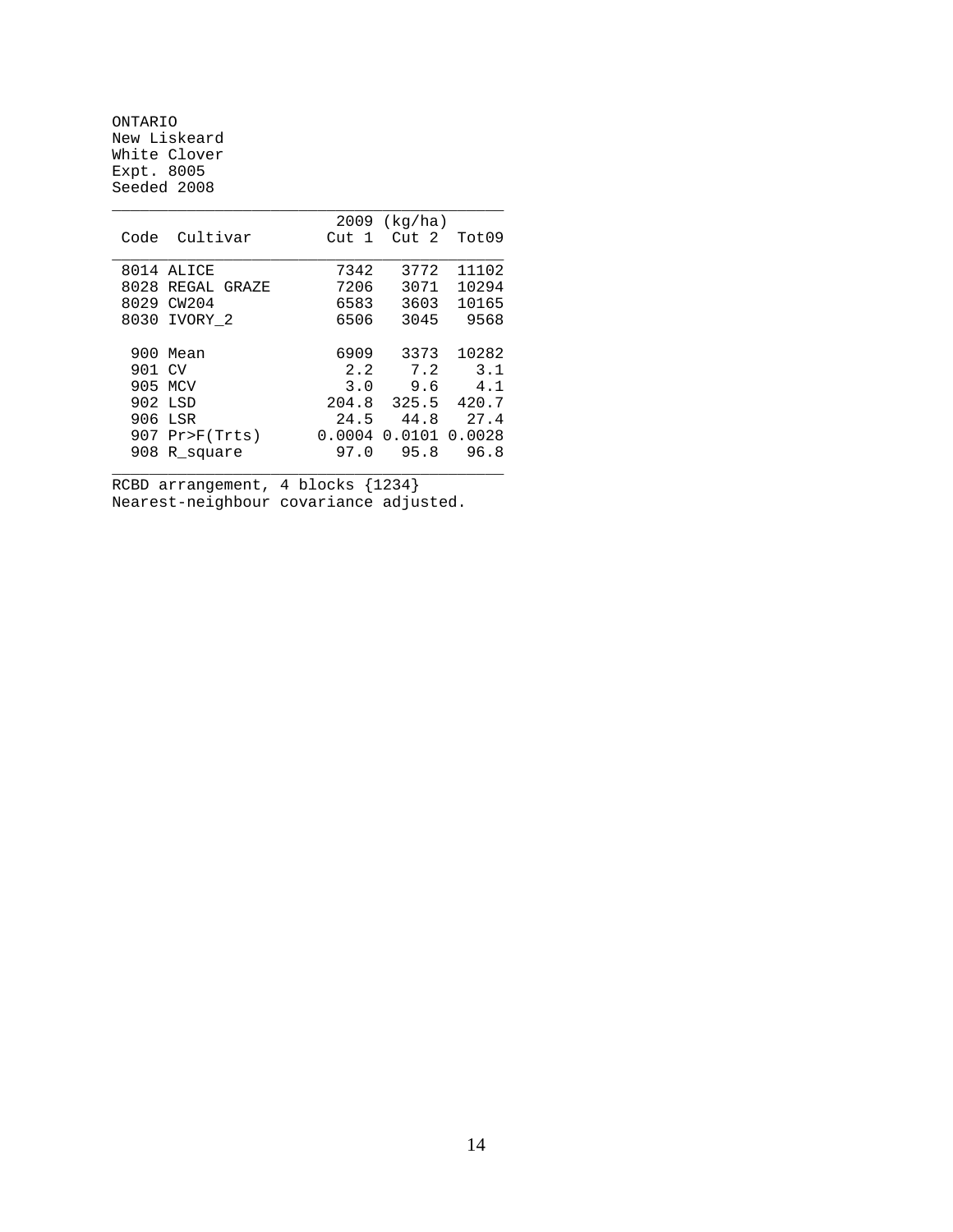ONTARIO New Liskeard White Clover Expt. 8005 Seeded 2008

|        |                  | 2009             | (kq/ha) |        |
|--------|------------------|------------------|---------|--------|
| Code   | Cultivar         | Cut <sub>1</sub> | Cut 2   | Tot09  |
|        | 8014 ALICE       | 7342             | 3772    | 11102  |
|        | 8028 REGAL GRAZE | 7206             | 3071    | 10294  |
|        | 8029 CW204       | 6583             | 3603    | 10165  |
|        | 8030 IVORY 2     | 6506             | 3045    | 9568   |
|        | 900 Mean         | 6909             | 3373    | 10282  |
| 901 CV |                  | 2.2              | 7.2     | 3.1    |
|        | 905 MCV          | 3.0              | 9.6     | 4.1    |
|        | 902 LSD          | 204.8            | 325.5   | 420.7  |
|        | 906 LSR          | 24.5             | 44.8    | 27.4   |
|        | 907 Pr>F(Trts)   | 0.0004           | 0.0101  | 0.0028 |
| 908    | R square         | 97.0             | 95.8    | 96.8   |
|        |                  |                  |         |        |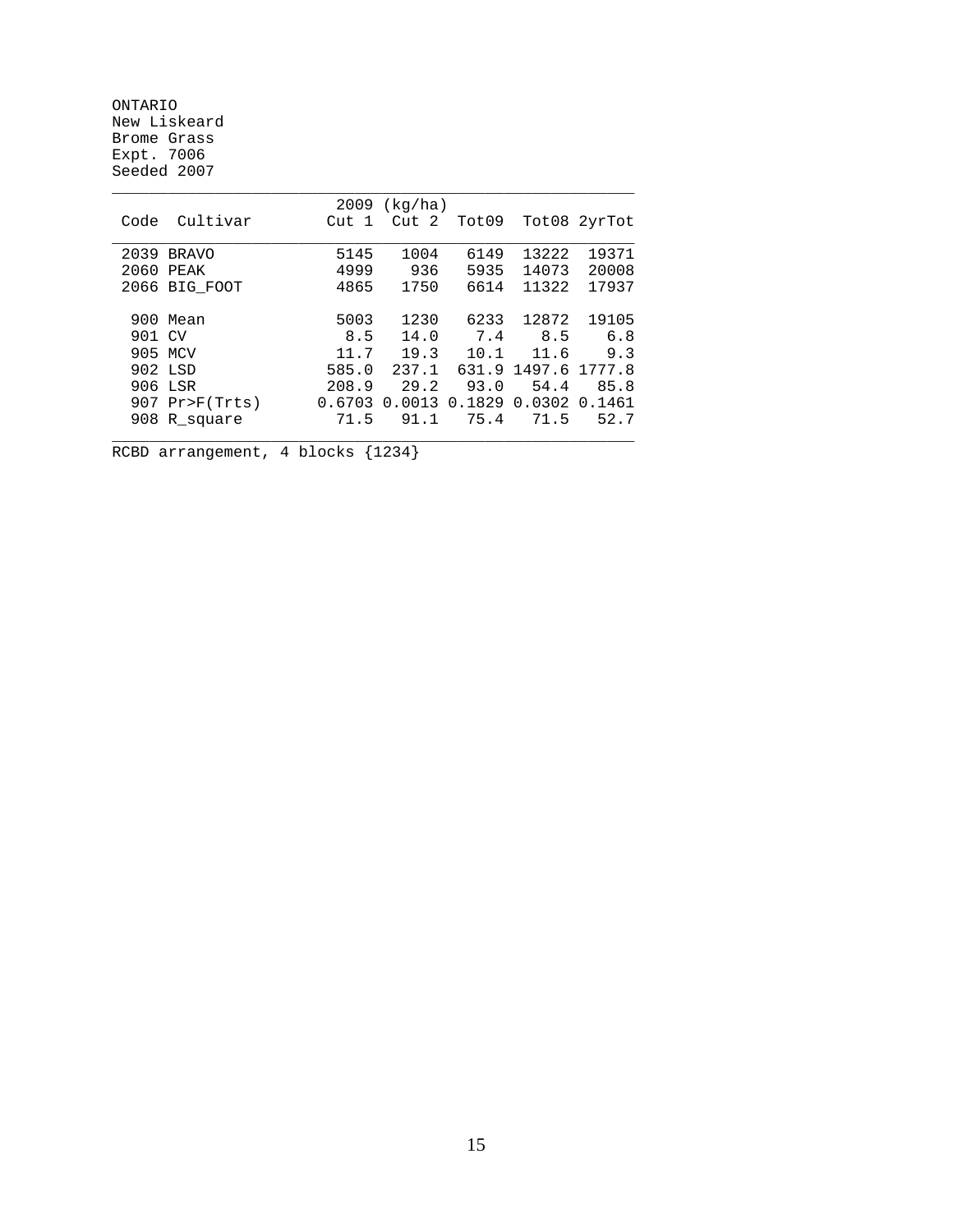ONTARIO New Liskeard Brome Grass Expt. 7006 Seeded 2007

|        |                  | 2009   | (kq/ha) |        |               |              |
|--------|------------------|--------|---------|--------|---------------|--------------|
| Code   | Cultivar         | Cut 1  | Cut 2   | Tot09  |               | Tot08 2yrTot |
|        |                  |        |         |        |               |              |
| 2039   | <b>BRAVO</b>     | 5145   | 1004    | 6149   | 13222         | 19371        |
| 2060   | PEAK             | 4999   | 936     | 5935   | 14073         | 20008        |
| 2066   | BIG FOOT         | 4865   | 1750    | 6614   | 11322         | 17937        |
|        |                  |        |         |        |               |              |
|        | 900 Mean         | 5003   | 1230    | 6233   | 12872         | 19105        |
| 901 CV |                  | 8.5    | 14.0    | 7.4    | 8.5           | 6.8          |
|        | 905 MCV          | 11.7   | 19.3    | 10.1   | 11.6          | 9.3          |
|        | 902 LSD          | 585.0  | 237.1   | 631.9  | 1497.6 1777.8 |              |
|        | 906 LSR          | 208.9  | 29.2    | 93.0   | 54.4          | 85.8         |
|        | $907$ Pr>F(Trts) | 0.6703 | 0.0013  | 0.1829 | 0.0302        | 0.1461       |
|        | 908 R square     | 71.5   | 91.1    | 75.4   | 71.5          | 52.7         |
|        |                  |        |         |        |               |              |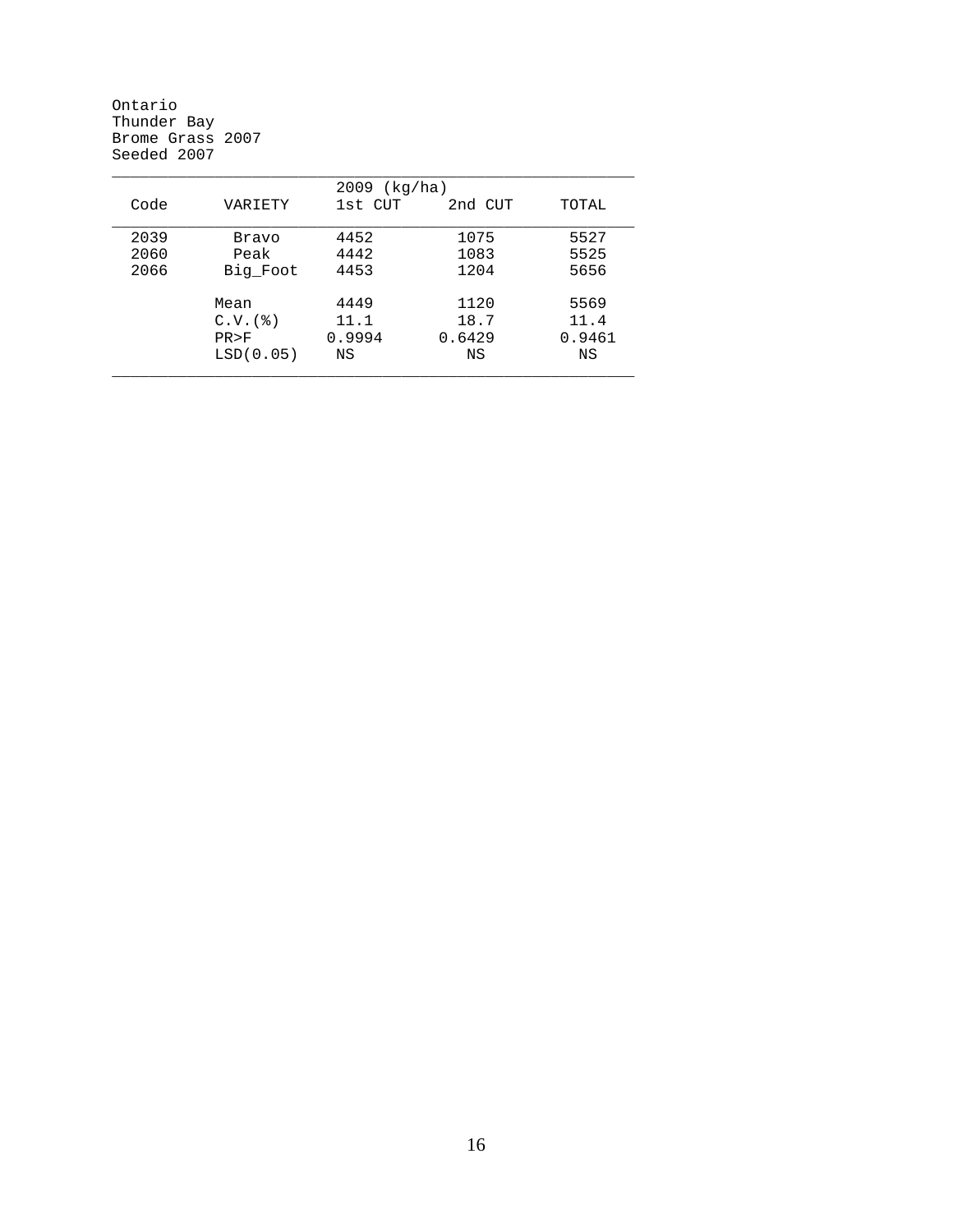Ontario Thunder Bay Brome Grass 2007 Seeded 2007

|      |              | $2009$ (kg/ha) |         |        |
|------|--------------|----------------|---------|--------|
| Code | VARIETY      | 1st CUT        | 2nd CUT | TOTAL  |
|      |              |                |         |        |
| 2039 | Bravo        | 4452           | 1075    | 5527   |
| 2060 | Peak         | 4442           | 1083    | 5525   |
| 2066 | Big Foot     | 4453           | 1204    | 5656   |
|      |              |                |         |        |
|      | Mean         | 4449           | 1120    | 5569   |
|      | $C.V.$ $(%)$ | 11.1           | 18.7    | 11.4   |
|      | PR > F       | 0.9994         | 0.6429  | 0.9461 |
|      | LSD(0.05)    | ΝS             | ΝS      | ΝS     |
|      |              |                |         |        |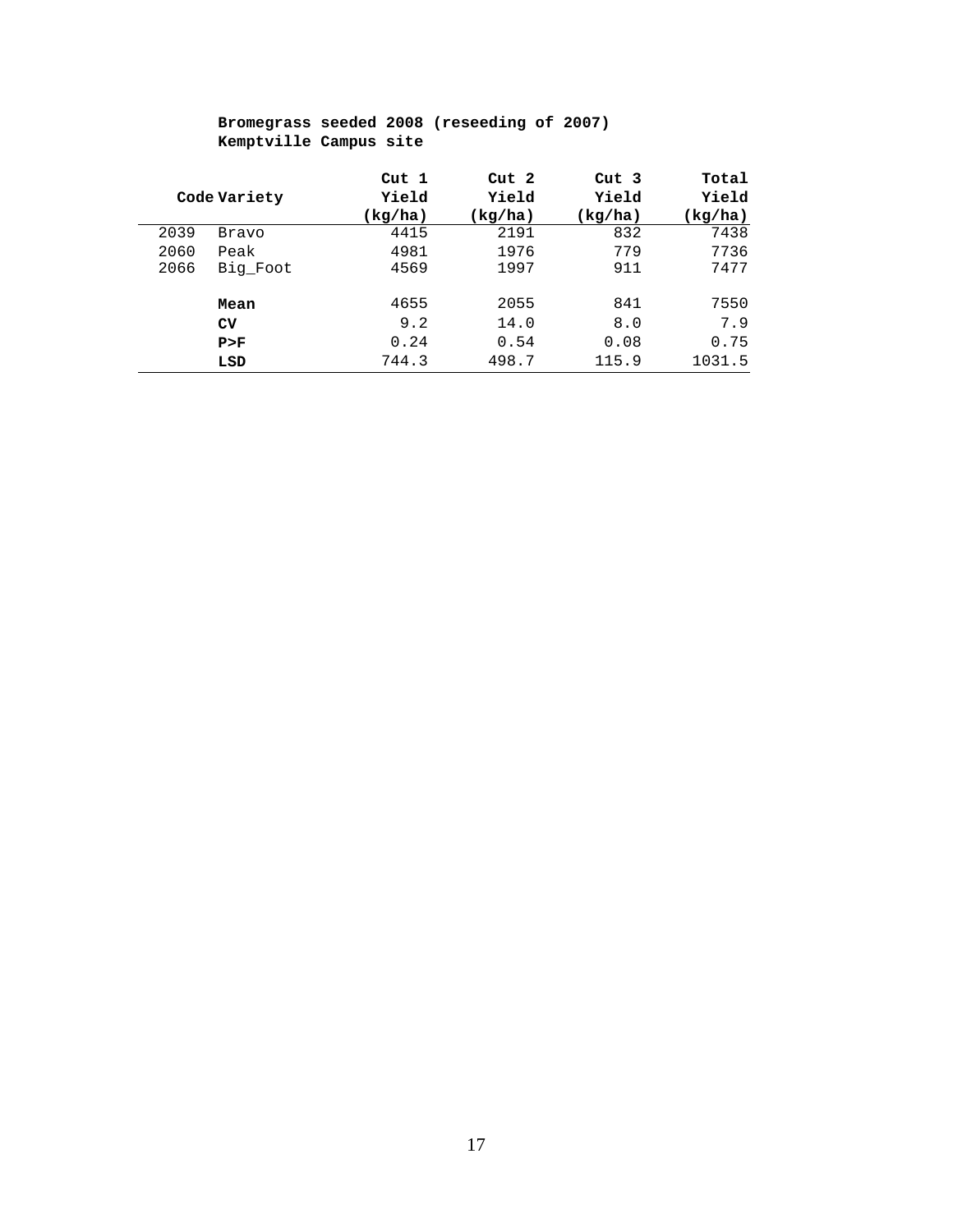### **Bromegrass seeded 2008 (reseeding of 2007) Kemptville Campus site**

|      |              | Cut 1   | Cut <sub>2</sub> | Cut <sub>3</sub> | Total   |
|------|--------------|---------|------------------|------------------|---------|
|      | Code Variety | Yield   | Yield            | Yield            | Yield   |
|      |              | (kg/ha) | (kg/ha)          | (kg/ha)          | (kg/ha) |
| 2039 | Bravo        | 4415    | 2191             | 832              | 7438    |
| 2060 | Peak         | 4981    | 1976             | 779              | 7736    |
| 2066 | Big Foot     | 4569    | 1997             | 911              | 7477    |
|      |              |         |                  |                  |         |
|      | Mean         | 4655    | 2055             | 841              | 7550    |
|      | CV           | 9.2     | 14.0             | 8.0              | 7.9     |
|      | P>F          | 0.24    | 0.54             | 0.08             | 0.75    |
|      | LSD          | 744.3   | 498.7            | 115.9            | 1031.5  |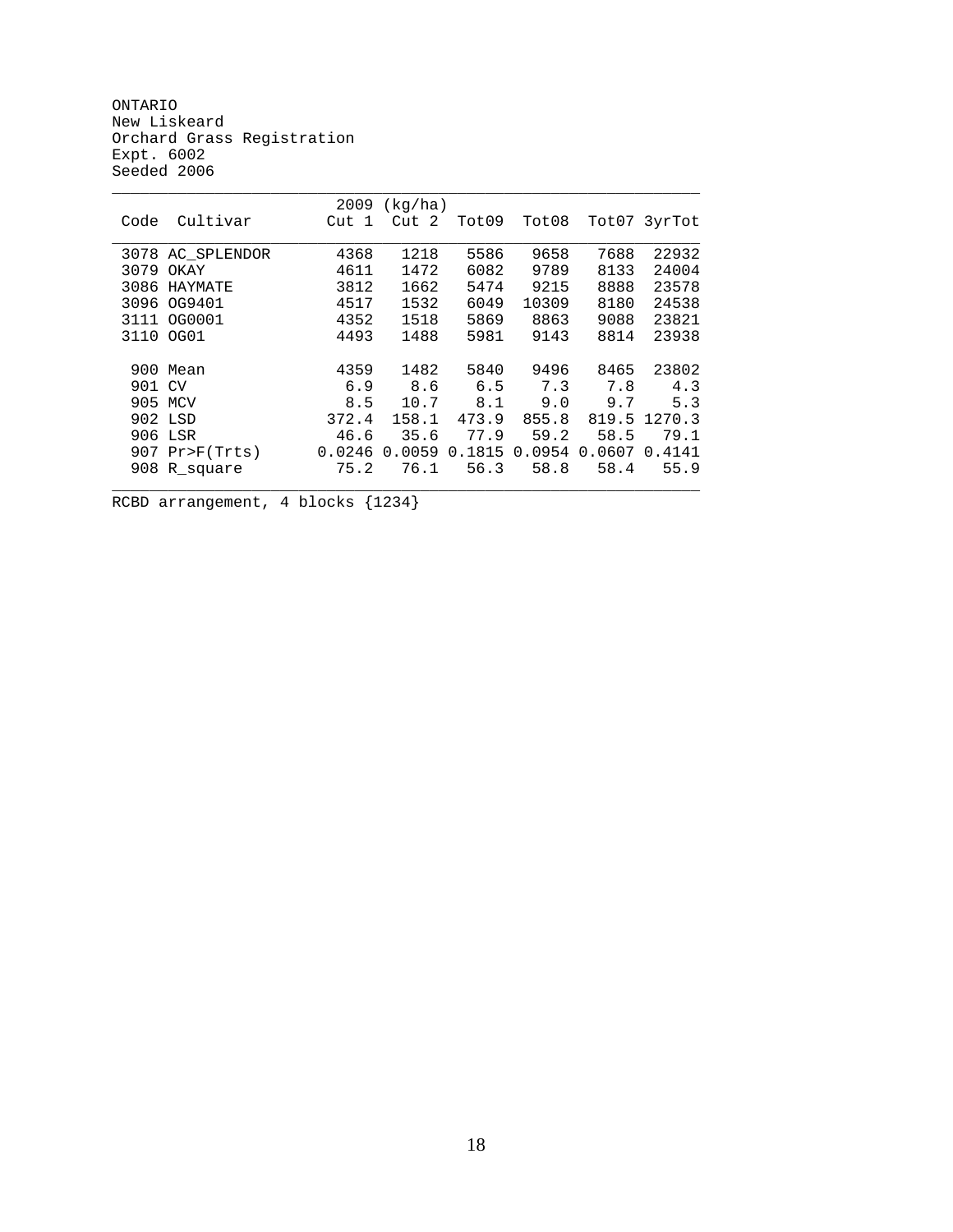ONTARIO New Liskeard Orchard Grass Registration Expt. 6002 Seeded 2006

|        |                  | 2009   | (kq/ha) |        |        |        |              |
|--------|------------------|--------|---------|--------|--------|--------|--------------|
| Code   | Cultivar         | Cut 1  | Cut 2   | Tot09  | Tot08  |        | Tot07 3yrTot |
|        |                  |        |         |        |        |        |              |
| 3078   | AC SPLENDOR      | 4368   | 1218    | 5586   | 9658   | 7688   | 22932        |
| 3079   | OKAY             | 4611   | 1472    | 6082   | 9789   | 8133   | 24004        |
| 3086   | <b>HAYMATE</b>   | 3812   | 1662    | 5474   | 9215   | 8888   | 23578        |
| 3096   | OG9401           | 4517   | 1532    | 6049   | 10309  | 8180   | 24538        |
| 3111   | OG0001           | 4352   | 1518    | 5869   | 8863   | 9088   | 23821        |
|        | 3110 OG01        | 4493   | 1488    | 5981   | 9143   | 8814   | 23938        |
|        |                  |        |         |        |        |        |              |
|        | 900 Mean         | 4359   | 1482    | 5840   | 9496   | 8465   | 23802        |
| 901 CV |                  | 6.9    | 8.6     | 6.5    | 7.3    | 7.8    | 4.3          |
|        | 905 MCV          | 8.5    | 10.7    | 8.1    | 9.0    | 9.7    | 5.3          |
|        | 902 LSD          | 372.4  | 158.1   | 473.9  | 855.8  | 819.5  | 1270.3       |
|        | 906 LSR          | 46.6   | 35.6    | 77.9   | 59.2   | 58.5   | 79.1         |
|        | $907$ Pr>F(Trts) | 0.0246 | 0.0059  | 0.1815 | 0.0954 | 0.0607 | 0.4141       |
|        | 908 R_square     | 75.2   | 76.1    | 56.3   | 58.8   | 58.4   | 55.9         |
|        |                  |        |         |        |        |        |              |

\_\_\_\_\_\_\_\_\_\_\_\_\_\_\_\_\_\_\_\_\_\_\_\_\_\_\_\_\_\_\_\_\_\_\_\_\_\_\_\_\_\_\_\_\_\_\_\_\_\_\_\_\_\_\_\_\_\_\_\_\_\_\_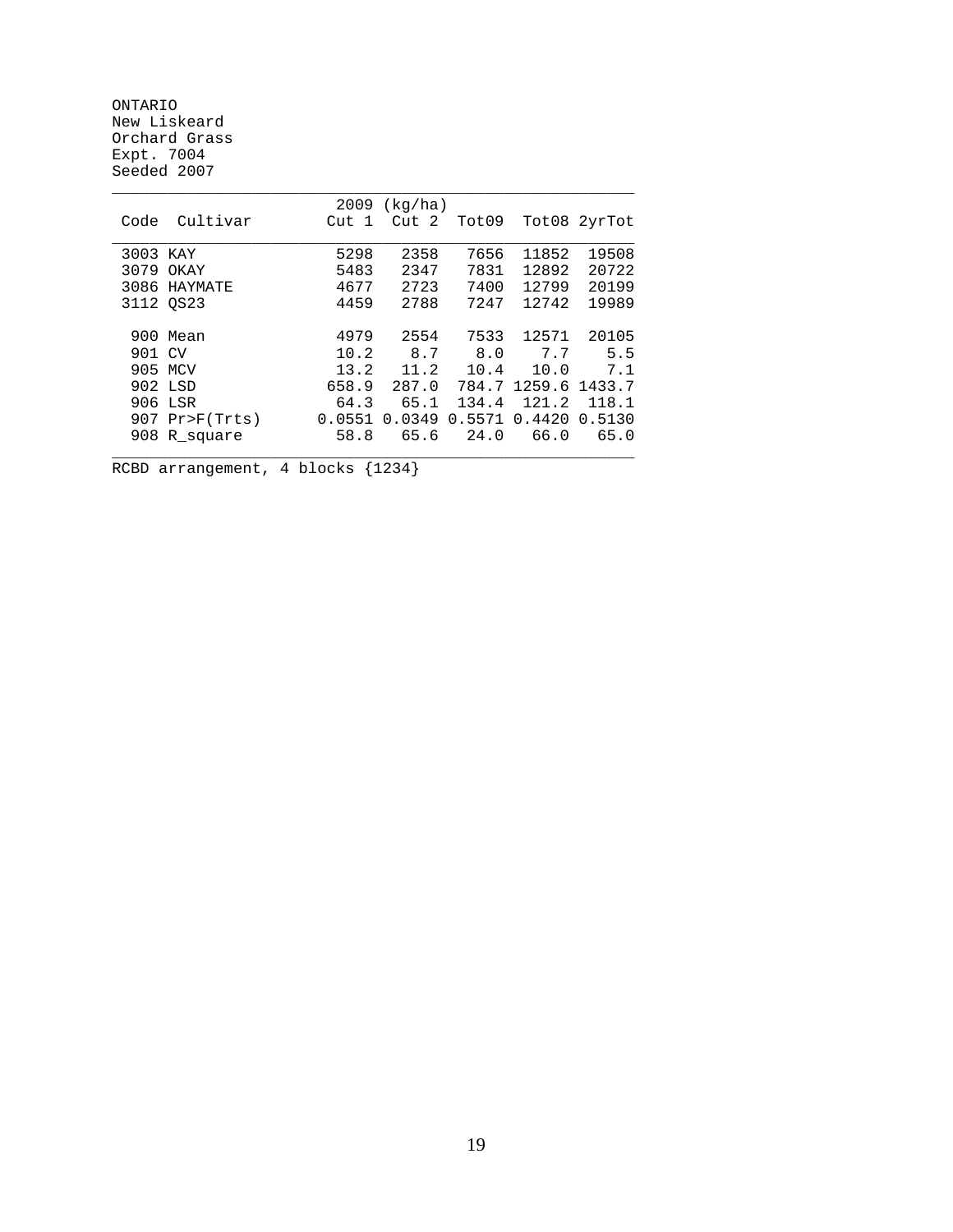ONTARIO New Liskeard Orchard Grass Expt. 7004 Seeded 2007

|          |                  | 2009   | (kq/ha) |        |        |              |
|----------|------------------|--------|---------|--------|--------|--------------|
| Code     | Cultivar         | Cut 1  | Cut 2   | Tot09  |        | Tot08 2yrTot |
|          |                  |        |         |        |        |              |
| 3003 KAY |                  | 5298   | 2358    | 7656   | 11852  | 19508        |
| 3079     | OKAY             | 5483   | 2347    | 7831   | 12892  | 20722        |
| 3086     | HAYMATE          | 4677   | 2723    | 7400   | 12799  | 20199        |
|          | 3112 OS23        | 4459   | 2788    | 7247   | 12742  | 19989        |
|          |                  |        |         |        |        |              |
|          | 900 Mean         | 4979   | 2554    | 7533   | 12571  | 20105        |
| 901 CV   |                  | 10.2   | 8.7     | 8.0    | 7.7    | 5.5          |
|          | 905 MCV          | 13.2   | 11.2    | 10.4   | 10.0   | 7.1          |
|          | 902 LSD          | 658.9  | 287.0   | 784.7  | 1259.6 | 1433.7       |
|          | 906 LSR          | 64.3   | 65.1    | 134.4  | 121.2  | 118.1        |
|          | $907$ Pr>F(Trts) | 0.0551 | 0.0349  | 0.5571 | 0.4420 | 0.5130       |
| 908      | R square         | 58.8   | 65.6    | 24.0   | 66.0   | 65.0         |
|          |                  |        |         |        |        |              |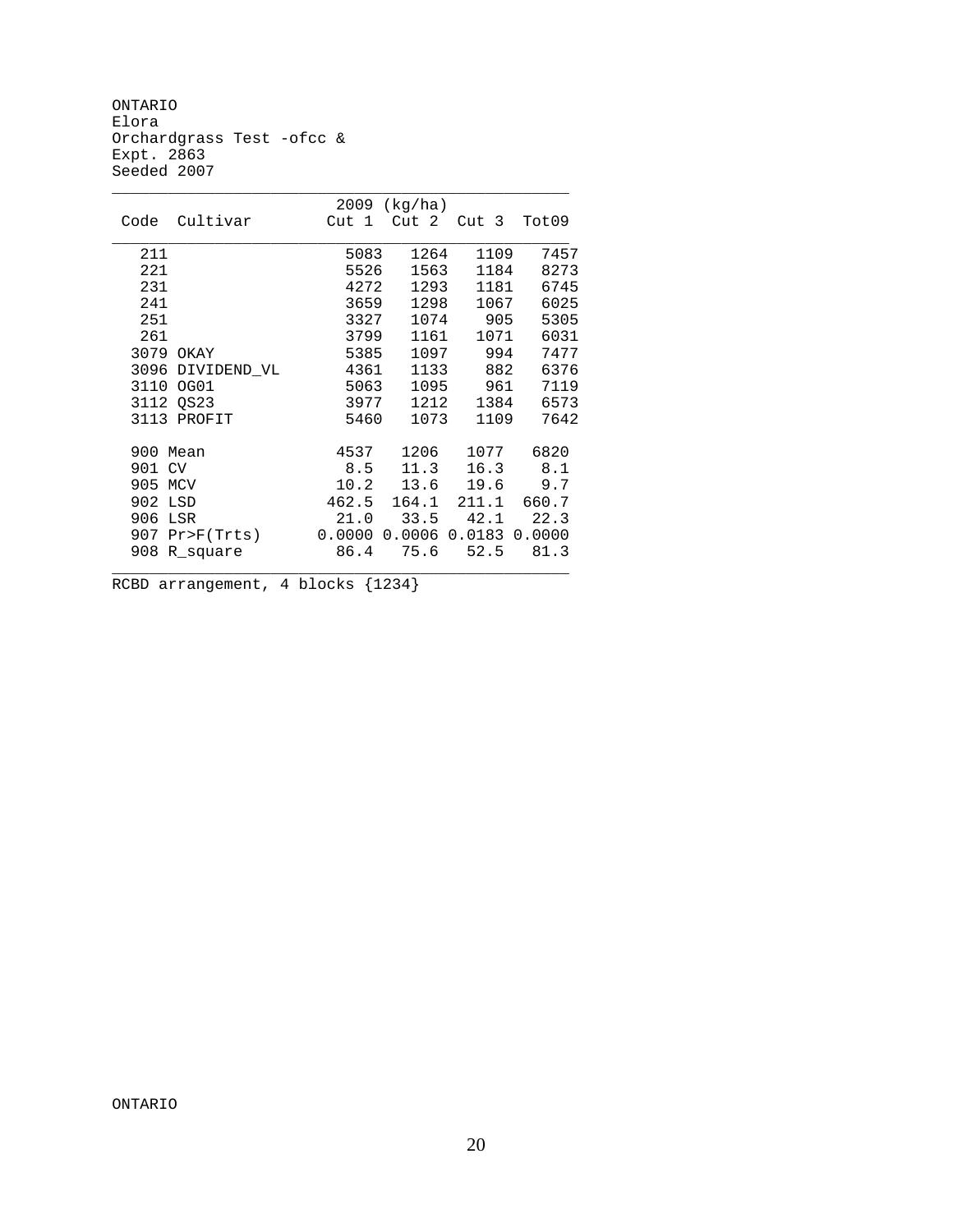ONTARIO Elora Orchardgrass Test -ofcc & Expt. 2863 Seeded 2007

|         |                  | 2009   | (kq/ha)              |      |             |
|---------|------------------|--------|----------------------|------|-------------|
| Code    | Cultivar         | Cut 1  | Cut 2                |      | Cut 3 Tot09 |
| 211     |                  | 5083   | 1264                 | 1109 | 7457        |
| 221     |                  | 5526   | 1563                 | 1184 | 8273        |
| 231     |                  | 4272   | 1293                 | 1181 | 6745        |
| 241     |                  | 3659   | 1298                 | 1067 | 6025        |
| 251     |                  | 3327   | 1074                 | 905  | 5305        |
| 261     |                  | 3799   | 1161                 | 1071 | 6031        |
|         | 3079 OKAY        | 5385   | 1097                 | 994  | 7477        |
|         | 3096 DIVIDEND_VL | 4361   | 1133                 | 882  | 6376        |
|         | 3110 OG01        | 5063   | 1095                 | 961  | 7119        |
|         | 3112 OS23        | 3977   | 1212                 | 1384 | 6573        |
|         | 3113 PROFIT      | 5460   | 1073                 | 1109 | 7642        |
|         | 900 Mean         | 4537   | 1206                 | 1077 | 6820        |
| 901 CV  |                  | 8.5    | 11.3                 |      | $16.3$ 8.1  |
| 905 MCV |                  | 10.2   | 13.6                 | 19.6 | 9.7         |
| 902 LSD |                  |        | 462.5 164.1 211.1    |      | 660.7       |
| 906 LSR |                  |        | 21.0 33.5            | 42.1 | 22.3        |
|         | $907$ Pr>F(Trts) | 0.0000 | 0.0006 0.0183 0.0000 |      |             |
|         | 908 R_square     | 86.4   | 75.6                 | 52.5 | 81.3        |
|         |                  |        |                      |      |             |

\_\_\_\_\_\_\_\_\_\_\_\_\_\_\_\_\_\_\_\_\_\_\_\_\_\_\_\_\_\_\_\_\_\_\_\_\_\_\_\_\_\_\_\_\_\_\_\_\_

RCBD arrangement, 4 blocks {1234}

ONTARIO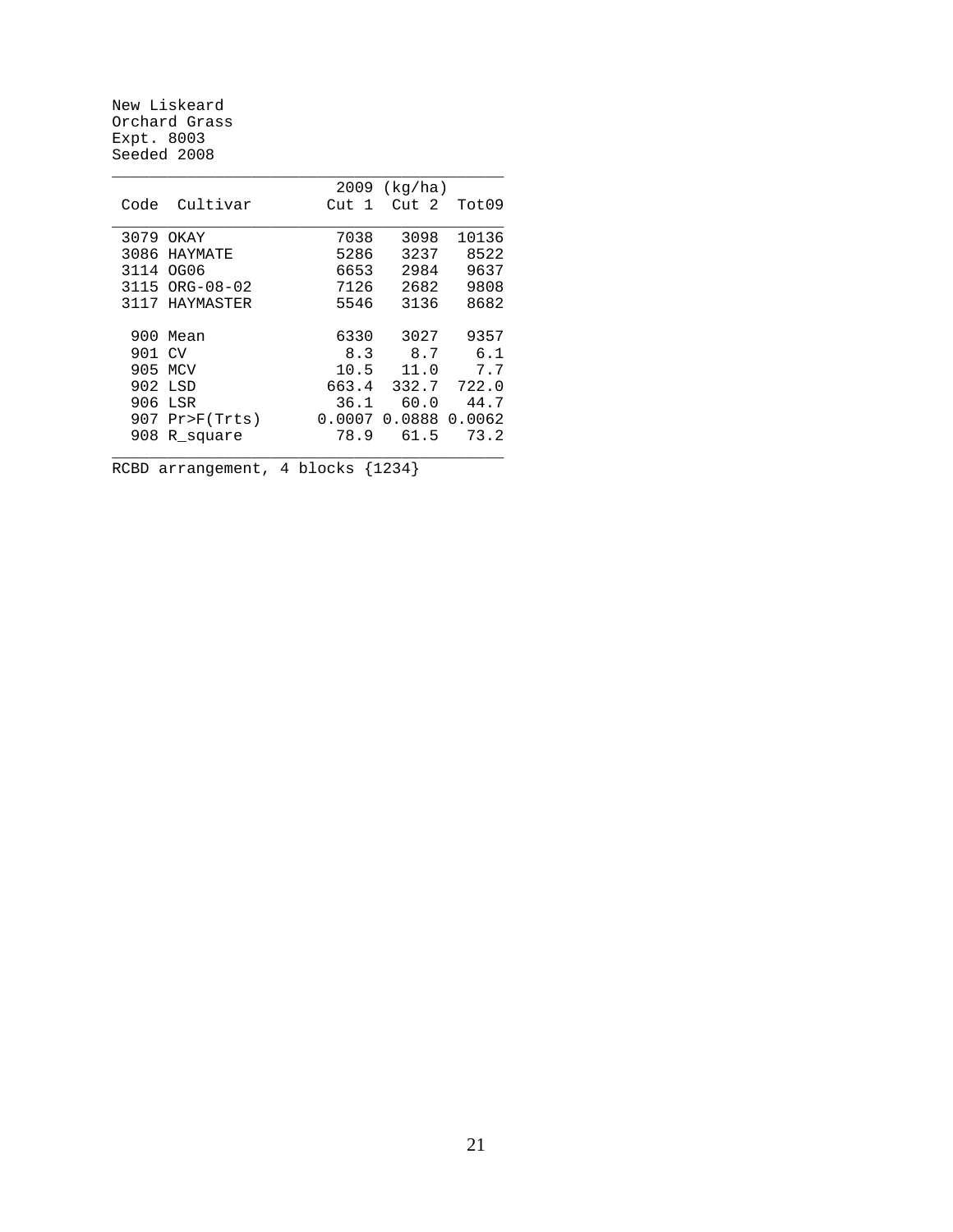New Liskeard Orchard Grass Expt. 8003 Seeded 2008

|      |                | 2009   | (kq/ha)          |        |
|------|----------------|--------|------------------|--------|
| Code | Cultivar       | Cut 1  | Cut <sub>2</sub> | Tot09  |
|      |                |        |                  |        |
| 3079 | OKAY           | 7038   | 3098             | 10136  |
| 3086 | HAYMATE        | 5286   | 3237             | 8522   |
| 3114 | OG06           | 6653   | 2984             | 9637   |
| 3115 | $ORG-08-02$    | 7126   | 2682             | 9808   |
| 3117 | HAYMASTER      | 5546   | 3136             | 8682   |
|      |                |        |                  |        |
| 900  | Mean           | 6330   | 3027             | 9357   |
| 901  | CV <sub></sub> | 8.3    | 8.7              | 6.1    |
| 905  | MCV            | 10.5   | 11.0             | 7.7    |
| 902  | LSD            | 663.4  | 332.7            | 722.0  |
| 906  | LSR            | 36.1   | 60.0             | 44.7   |
| 907  | Pr > F(Trts)   | 0.0007 | 0.0888           | 0.0062 |
| 908  | R square       | 78.9   | 61.5             | 73.2   |
|      |                |        |                  |        |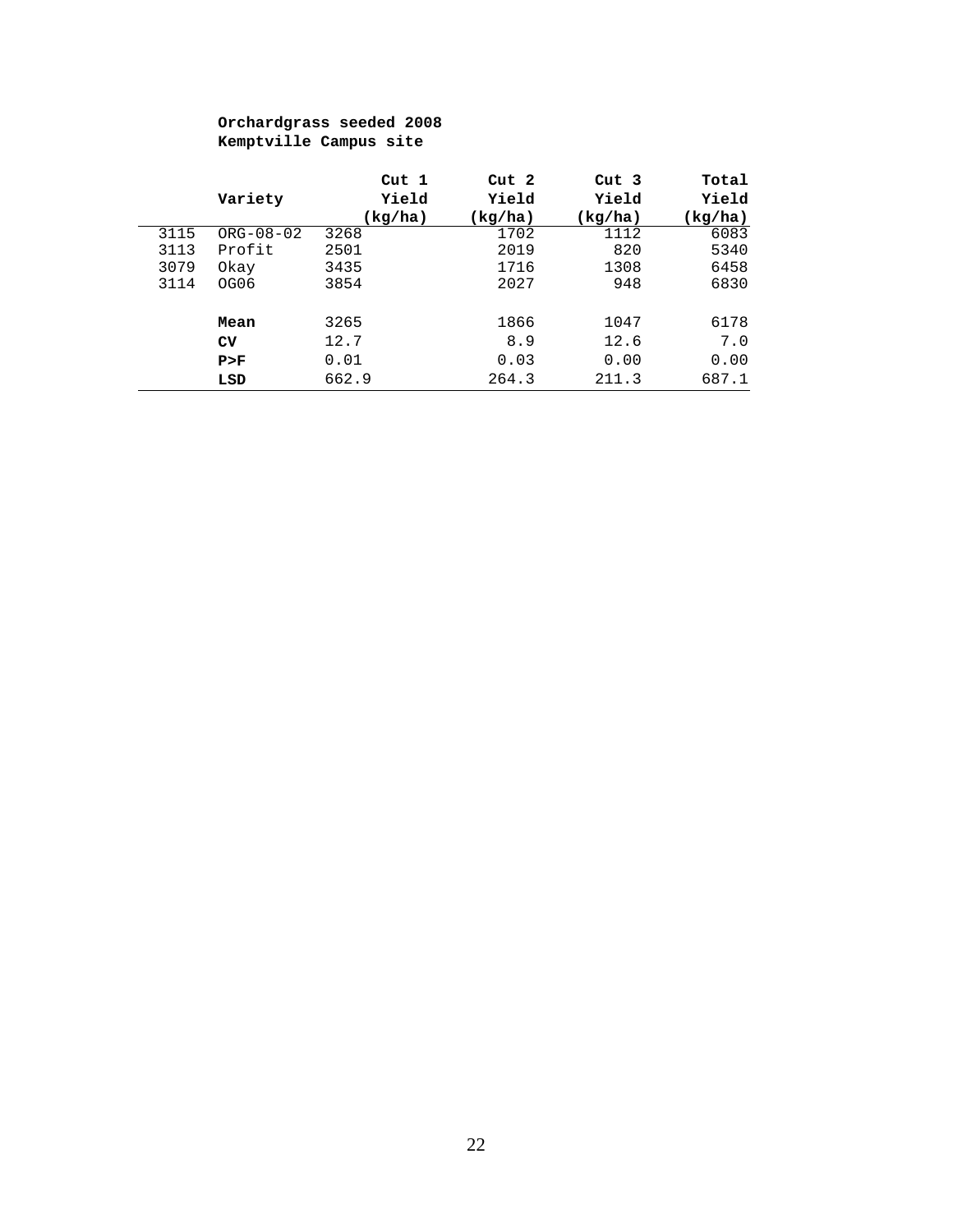### **Orchardgrass seeded 2008 Kemptville Campus site**

|      |             | Cut 1   | Cut 2   | Cut <sub>3</sub> | Total   |
|------|-------------|---------|---------|------------------|---------|
|      | Variety     | Yield   | Yield   | Yield            | Yield   |
|      |             | (kq/ha) | (kg/ha) | (kq/ha)          | (kg/ha) |
| 3115 | $ORG-08-02$ | 3268    | 1702    | 1112             | 6083    |
| 3113 | Profit      | 2501    | 2019    | 820              | 5340    |
| 3079 | Okay        | 3435    | 1716    | 1308             | 6458    |
| 3114 | OG06        | 3854    | 2027    | 948              | 6830    |
|      |             |         |         |                  |         |
|      | Mean        | 3265    | 1866    | 1047             | 6178    |
|      | <b>CV</b>   | 12.7    | 8.9     | 12.6             | 7.0     |
|      | P>F         | 0.01    | 0.03    | 0.00             | 0.00    |
|      | LSD         | 662.9   | 264.3   | 211.3            | 687.1   |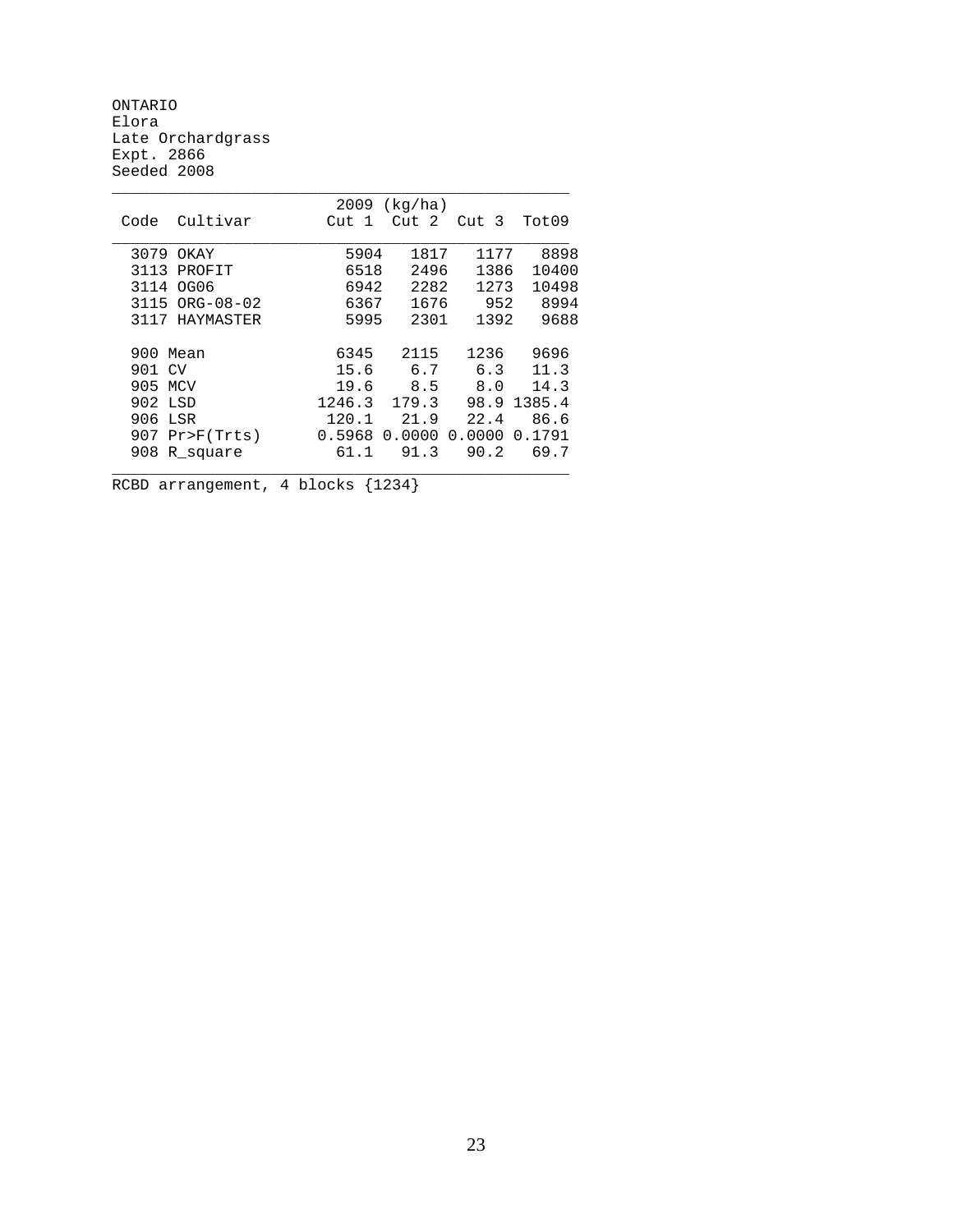ONTARIO Elora Late Orchardgrass Expt. 2866 Seeded 2008

| 2009<br>(kq/ha)<br>Cultivar<br>Code<br>Cut 2<br>Cut <sub>3</sub><br>Tot09<br>Cut 1<br>8898<br>1817<br>3079<br>5904<br>1177<br>OKAY<br>6518<br>2496<br>1386<br>10400<br>3113<br>PROFIT<br>6942<br>2282<br>10498<br>OG06<br>1273<br>3114<br>8994<br>6367<br>1676<br>952<br>ORG-08-02<br>3115<br>9688<br>5995<br>2301<br>1392<br>3117<br>HAYMASTER |
|-------------------------------------------------------------------------------------------------------------------------------------------------------------------------------------------------------------------------------------------------------------------------------------------------------------------------------------------------|
|                                                                                                                                                                                                                                                                                                                                                 |
|                                                                                                                                                                                                                                                                                                                                                 |
|                                                                                                                                                                                                                                                                                                                                                 |
|                                                                                                                                                                                                                                                                                                                                                 |
|                                                                                                                                                                                                                                                                                                                                                 |
|                                                                                                                                                                                                                                                                                                                                                 |
|                                                                                                                                                                                                                                                                                                                                                 |
| 1236<br>9696<br>6345<br>2115<br>900<br>Mean                                                                                                                                                                                                                                                                                                     |
| 15.6<br>901 CV<br>6.7<br>6.3<br>11.3                                                                                                                                                                                                                                                                                                            |
| 19.6<br>8.5<br>8.0<br>14.3<br>905<br>MCV                                                                                                                                                                                                                                                                                                        |
| 1246.3<br>179.3<br>98.9<br>1385.4<br>902<br>LSD                                                                                                                                                                                                                                                                                                 |
| 120.1<br>21.9<br>86.6<br>906<br>22.4<br>LSR                                                                                                                                                                                                                                                                                                     |
| 0.5968<br>0.0000<br>907<br>$Pr$ $F(Trts)$<br>0.0000<br>0.1791                                                                                                                                                                                                                                                                                   |
| 61.1<br>91.3<br>90.2<br>69.7<br>908<br>R square                                                                                                                                                                                                                                                                                                 |

RCBD arrangement, 4 blocks {1234}

23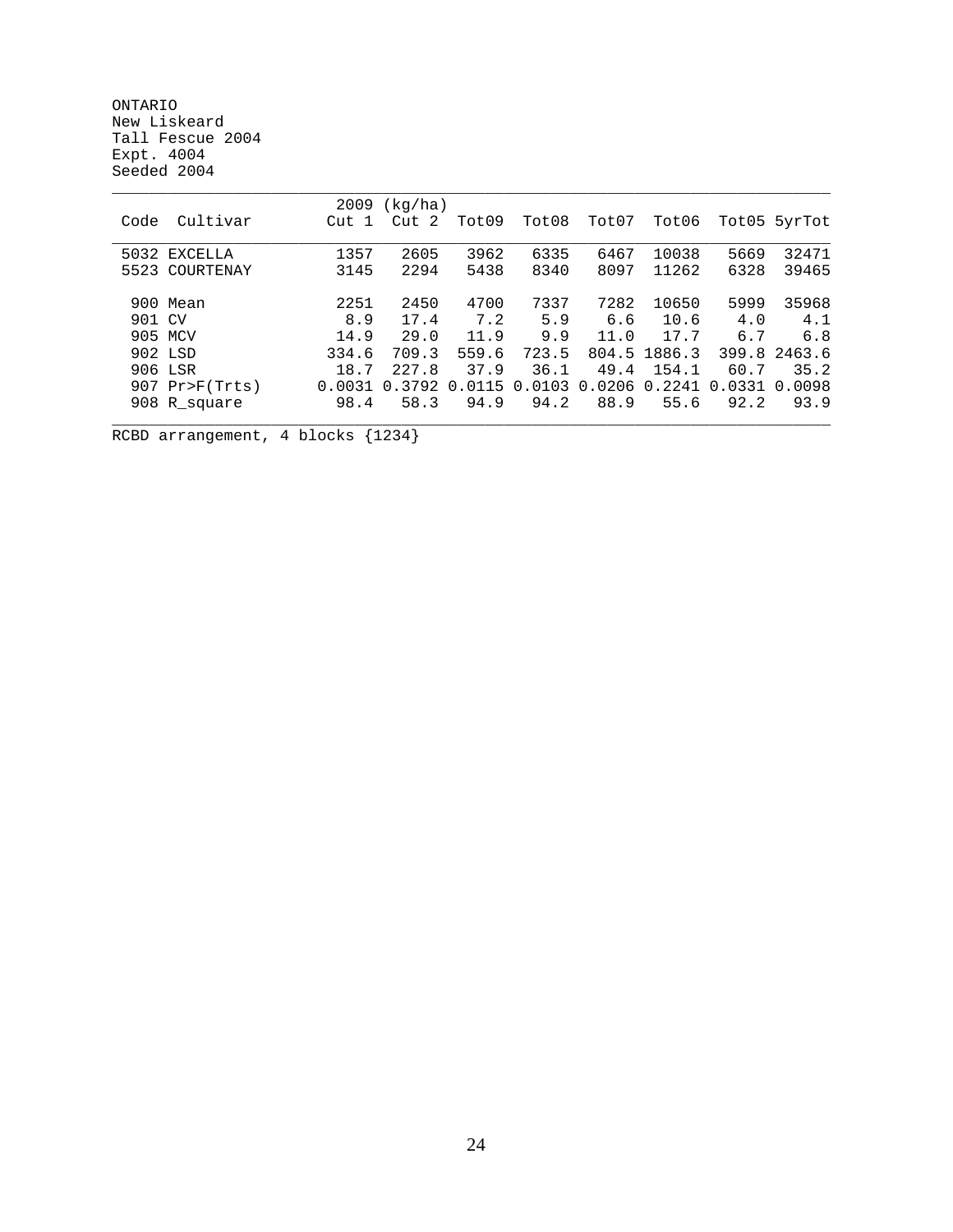ONTARIO New Liskeard Tall Fescue 2004 Expt. 4004 Seeded 2004

|        |                  | 2009   | (kq/ha)               |           |                  |            |                         |            |                   |
|--------|------------------|--------|-----------------------|-----------|------------------|------------|-------------------------|------------|-------------------|
| Code   | Cultivar         | Cut 1  | $\overline{2}$<br>Cut | Tot09     | Tot08            | Tot07      | Tot06                   |            | Tot05 5yrTot      |
| 5032   | EXCELLA          | 1357   | 2605                  | 3962      | 6335             | 6467       | 10038                   | 5669       | 32471             |
|        |                  |        |                       |           |                  |            |                         |            |                   |
| 5523   | COURTENAY        | 3145   | 2294                  | 5438      | 8340             | 8097       | 11262                   | 6328       | 39465             |
|        |                  |        |                       |           |                  |            |                         |            |                   |
|        | 900 Mean         | 2251   | 2450                  | 4700      | 7337             | 7282       | 10650                   | 5999       | 35968             |
| 901 CV |                  | 8.9    | 17.4                  | 7.2       | 5.9              | 6.6        | 10.6                    | 4.0        | 4.1               |
|        | 905 MCV          | 14.9   | 29.0                  | 11.9      | 9.9              | 11.0       | 17.7                    | 6.7        | 6.8               |
|        | 902 LSD          | 334.6  | 709.3                 | 559.6     | 723.5            | 804.5      | 1886.3                  | 399.8      | 2463.6            |
|        | 906 LSR          | 18.7   | 227.8                 | 37.9      | 36.1             | 49.4       | 154.1                   | 60.7       | 35.2              |
|        | $907$ Pr>F(Trts) | 0.0031 | .3792                 | 0115<br>0 | 0103<br>$\Omega$ | .0206<br>0 | .2241<br>$\overline{0}$ | .0331<br>0 | .0098<br>$\Omega$ |
|        | 908 R_square     | 98.4   | 58.3                  | 94.9      | 94.2             | 88.9       | 55.6                    | 92.2       | 93.9              |
|        |                  |        |                       |           |                  |            |                         |            |                   |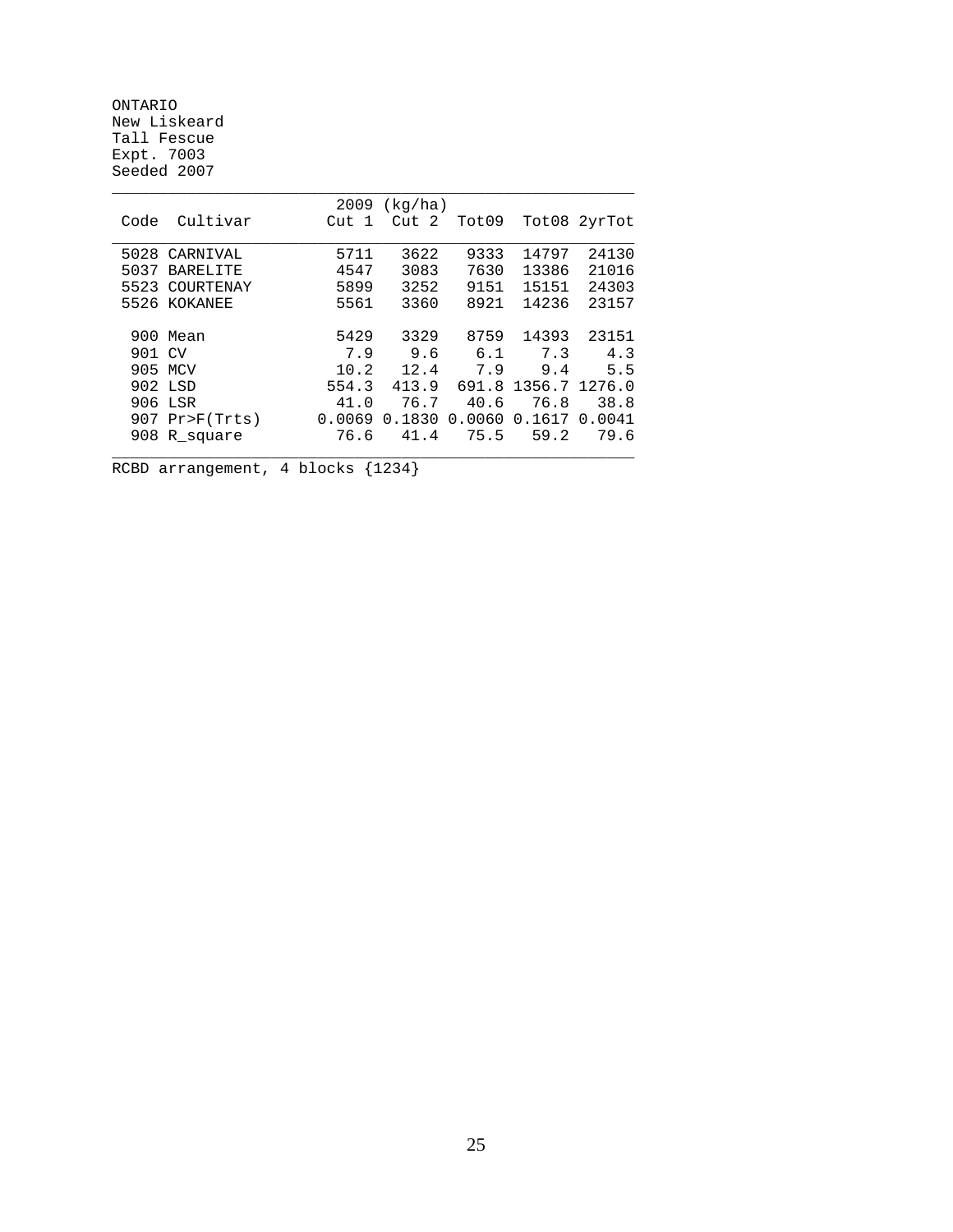ONTARIO New Liskeard Tall Fescue Expt. 7003 Seeded 2007

|        |                  | 2009   | (kq/ha) |        |        |               |
|--------|------------------|--------|---------|--------|--------|---------------|
| Code   | Cultivar         | Cut 1  | Cut 2   | Tot09  |        | Tot08 2yrTot  |
|        |                  |        |         |        |        |               |
| 5028   | CARNIVAL         | 5711   | 3622    | 9333   | 14797  | 24130         |
| 5037   | <b>BARELITE</b>  | 4547   | 3083    | 7630   | 13386  | 21016         |
| 5523   | COURTENAY        | 5899   | 3252    | 9151   | 15151  | 24303         |
|        | 5526 KOKANEE     | 5561   | 3360    | 8921   | 14236  | 23157         |
|        |                  |        |         |        |        |               |
|        | 900 Mean         | 5429   | 3329    | 8759   | 14393  | 23151         |
| 901 CV |                  | 7.9    | 9.6     | 6.1    | 7.3    | 4.3           |
|        | 905 MCV          | 10.2   | 12.4    | 7.9    | 9.4    | 5.5           |
|        | 902 LSD          | 554.3  | 413.9   | 691.8  |        | 1356.7 1276.0 |
|        | 906 LSR          | 41.0   | 76.7    | 40.6   | 76.8   | 38.8          |
|        | $907$ Pr>F(Trts) | 0.0069 | 0.1830  | 0.0060 | 0.1617 | 0.0041        |
| 908    | R square         | 76.6   | 41.4    | 75.5   | 59.2   | 79.6          |
|        |                  |        |         |        |        |               |

RCBD arrangement, 4 blocks {1234}

25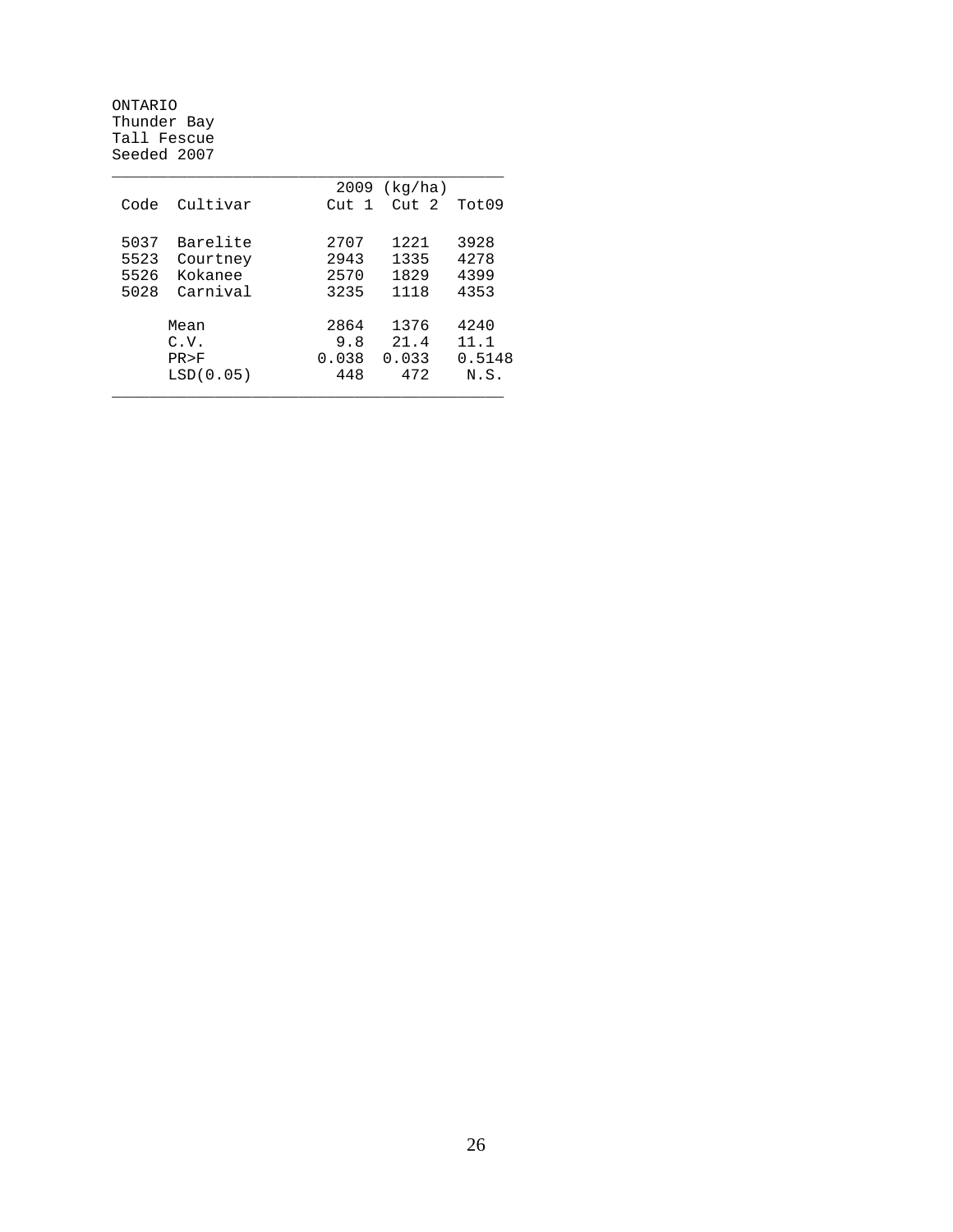ONTARIO Thunder Bay Tall Fescue Seeded 2007

|      |           | 2009                  | (kq/ha)          |        |
|------|-----------|-----------------------|------------------|--------|
| Code | Cultivar  | $\overline{1}$<br>Cut | Cut <sub>2</sub> | Tot09  |
| 5037 | Barelite  | 2707                  | 1221             | 3928   |
| 5523 | Courtney  | 2943                  | 1335             | 4278   |
|      |           |                       |                  |        |
| 5526 | Kokanee   | 2570                  | 1829             | 4399   |
| 5028 | Carnival  | 3235                  | 1118             | 4353   |
|      | Mean      | 2864                  | 1376             | 4240   |
|      | C.V.      | 9.8                   | 21.4             | 11.1   |
|      | PR > F    | 0.038                 | 0.033            | 0.5148 |
|      | LSD(0.05) | 448                   | 472              | N.S.   |
|      |           |                       |                  |        |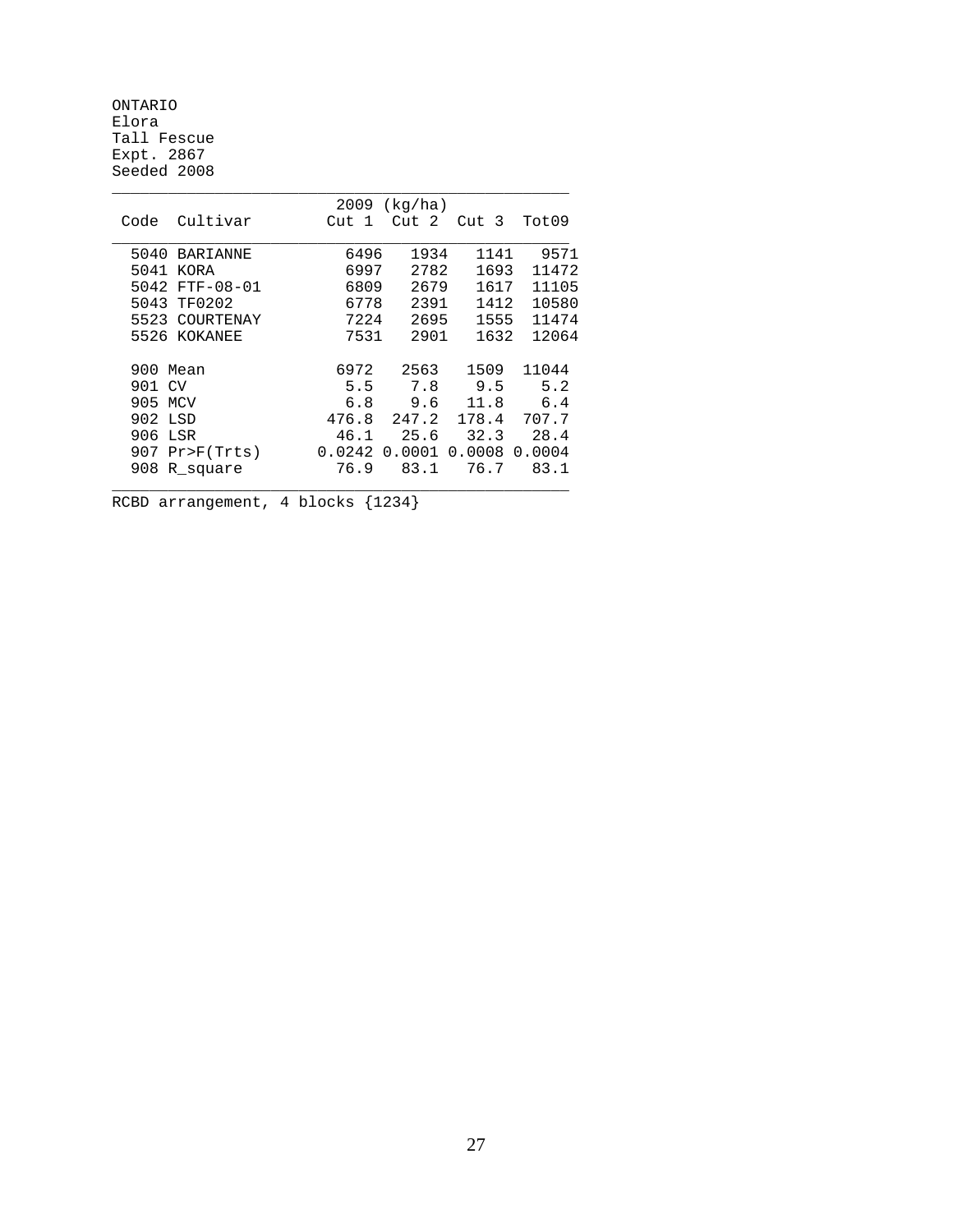ONTARIO Elora Tall Fescue Expt. 2867 Seeded 2008

|                         | 2009   | (kq/ha)          |        |        |
|-------------------------|--------|------------------|--------|--------|
| Cultivar<br>Code        | Cut 1  | Cut <sub>2</sub> | Cut 3  | Tot09  |
| 5040<br><b>BARIANNE</b> | 6496   | 1934             | 1141   | 9571   |
| 5041<br>KORA            | 6997   | 2782             | 1693   | 11472  |
| $FTF-08-01$<br>5042     | 6809   | 2679             | 1617   | 11105  |
| <b>TF0202</b><br>5043   | 6778   | 2391             | 1412   | 10580  |
| 5523<br>COURTENAY       | 7224   | 2695             | 1555   | 11474  |
| 5526<br>KOKANEE         | 7531   | 2901             | 1632   | 12064  |
| 900<br>Mean             | 6972   | 2563             | 1509   | 11044  |
| 901<br><b>CV</b>        | 5.5    | 7.8              | 9.5    | 5.2    |
| 905<br><b>MCV</b>       | 6.8    | 9.6              | 11.8   | 6.4    |
| 902<br>LSD              | 476.8  | 247.2            | 178.4  | 707.7  |
| 906<br>LSR              | 46.1   | 25.6             | 32.3   | 28.4   |
| Pr > F(Trts)<br>907     | 0.0242 | 0.0001           | 0.0008 | 0.0004 |
| 908<br>R square         | 76.9   | 83.1             | 76.7   | 83.1   |
|                         |        |                  |        |        |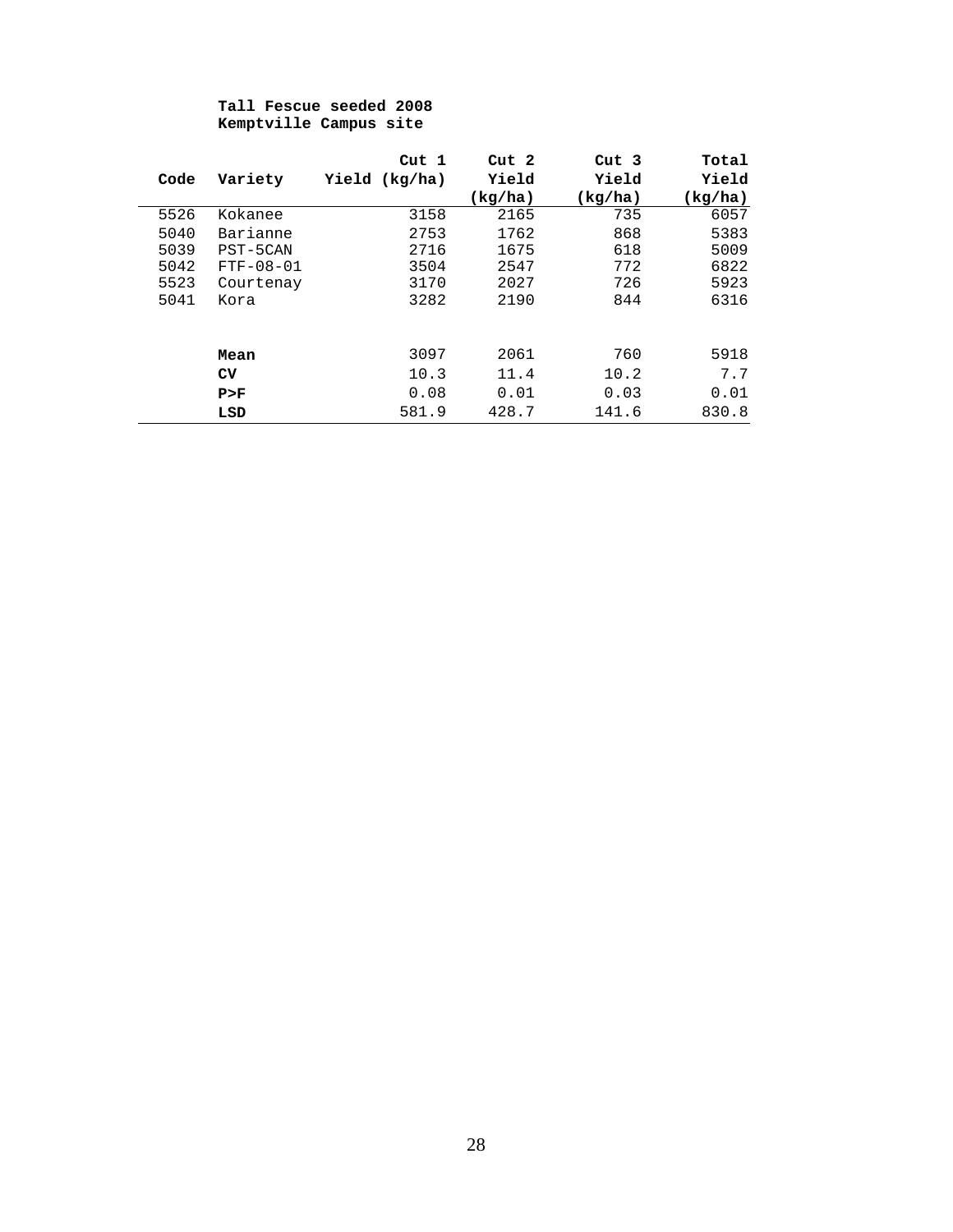### **Tall Fescue seeded 2008 Kemptville Campus site**

|      |             | Cut <sub>1</sub> | Cut <sub>2</sub> | Cut <sub>3</sub> | Total   |
|------|-------------|------------------|------------------|------------------|---------|
| Code | Variety     | Yield (kg/ha)    | Yield            | Yield            | Yield   |
|      |             |                  | (kg/ha)          | (kg/ha)          | (kg/ha) |
| 5526 | Kokanee     | 3158             | 2165             | 735              | 6057    |
| 5040 | Barianne    | 2753             | 1762             | 868              | 5383    |
| 5039 | PST-5CAN    | 2716             | 1675             | 618              | 5009    |
| 5042 | $FTF-08-01$ | 3504             | 2547             | 772              | 6822    |
| 5523 | Courtenay   | 3170             | 2027             | 726              | 5923    |
| 5041 | Kora        | 3282             | 2190             | 844              | 6316    |
|      |             |                  |                  |                  |         |
|      |             |                  |                  |                  |         |
|      | Mean        | 3097             | 2061             | 760              | 5918    |
|      | CV          | 10.3             | 11.4             | 10.2             | 7.7     |
|      | P>F         | 0.08             | 0.01             | 0.03             | 0.01    |
|      | LSD         | 581.9            | 428.7            | 141.6            | 830.8   |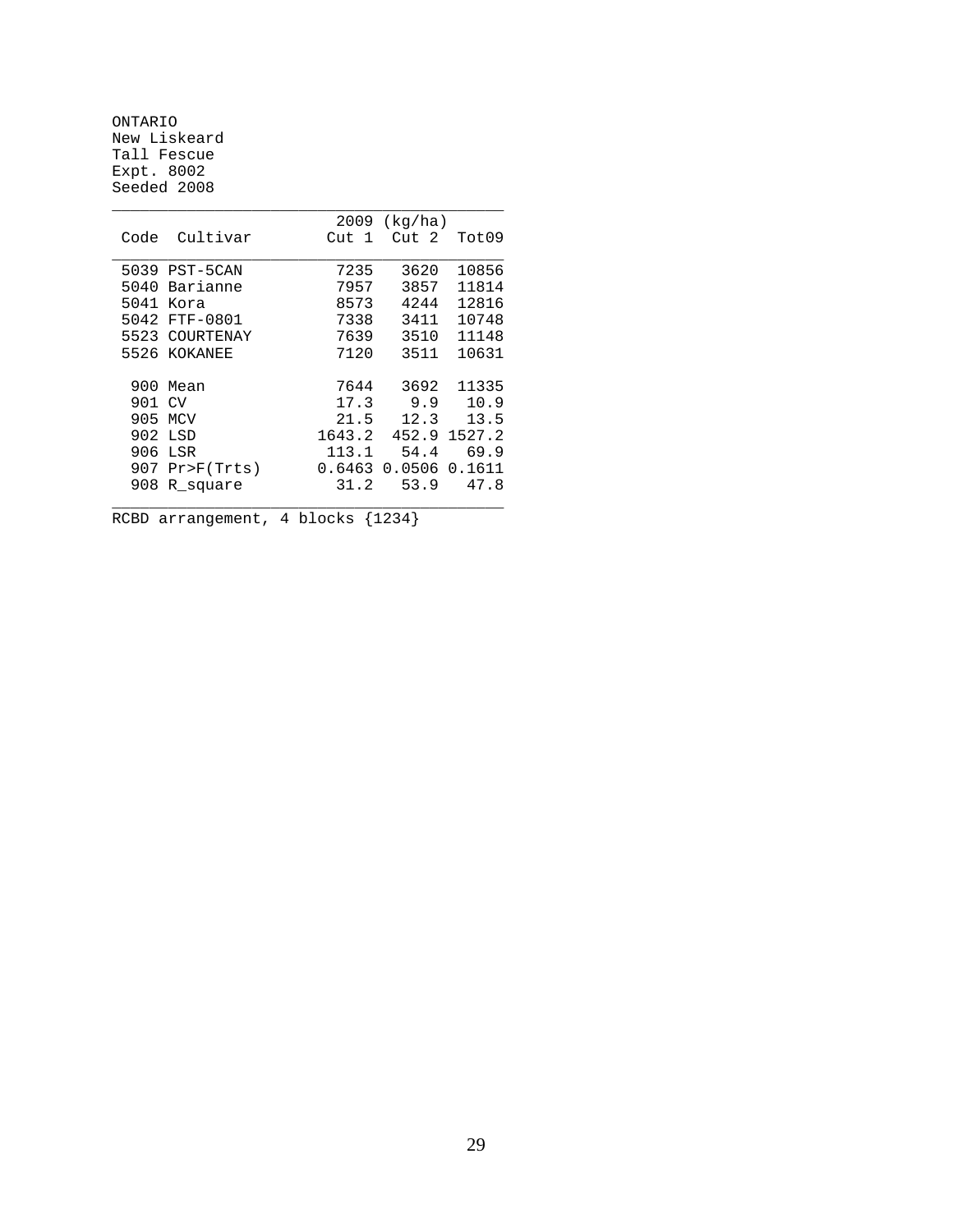ONTARIO New Liskeard Tall Fescue Expt. 8002 Seeded 2008

|      |                | 2009     | (kq/ha)          |        |
|------|----------------|----------|------------------|--------|
| Code | Cultivar       | Cut<br>1 | Cut <sub>2</sub> | Tot09  |
|      |                |          |                  |        |
| 5039 | PST-5CAN       | 7235     | 3620             | 10856  |
| 5040 | Barianne       | 7957     | 3857             | 11814  |
| 5041 | Kora           | 8573     | 4244             | 12816  |
| 5042 | FTF-0801       | 7338     | 3411             | 10748  |
| 5523 | COURTENAY      | 7639     | 3510             | 11148  |
| 5526 | KOKANEE        | 7120     | 3511             | 10631  |
|      |                |          |                  |        |
| 900  | Mean           | 7644     | 3692             | 11335  |
| 901  | CV             | 17.3     | 9.9              | 10.9   |
| 905  | MCV            | 21.5     | 12.3             | 13.5   |
| 902  | LSD            | 1643.2   | 452.9            | 1527.2 |
| 906  | LSR            | 113.1    | 54.4             | 69.9   |
| 907  | $Pr$ $F(Trts)$ | 0.6463   | 0.0506           | 0.1611 |
| 908  | R square       | 31.2     | 53.9             | 47.8   |
|      |                |          |                  |        |
|      |                |          |                  |        |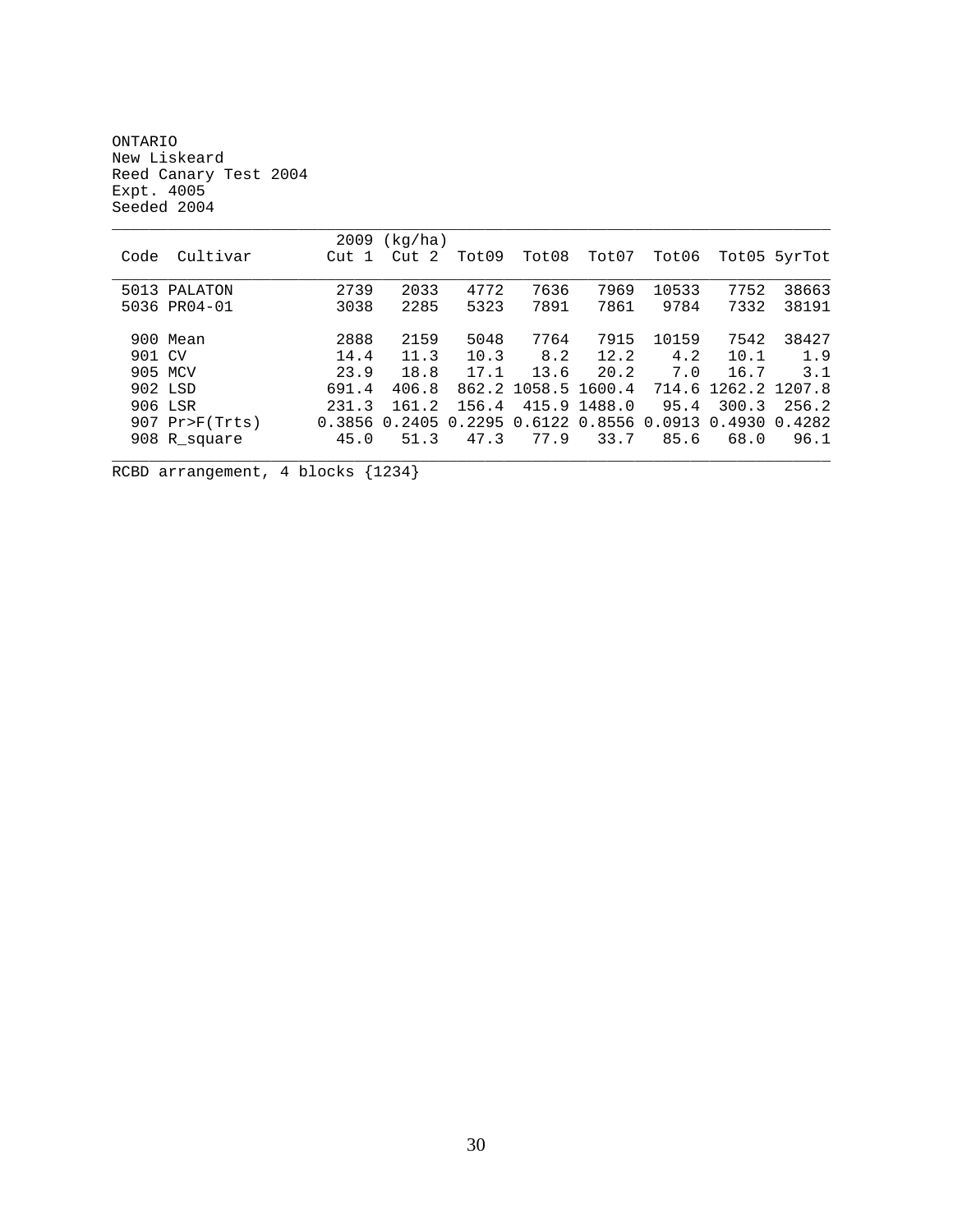ONTARIO New Liskeard Reed Canary Test 2004 Expt. 4005 Seeded 2004

|        |                  | 2009   | (kg/ha)               |        |        |        |        |        |              |
|--------|------------------|--------|-----------------------|--------|--------|--------|--------|--------|--------------|
| Code   | Cultivar         | Cut 1  | $\overline{2}$<br>Cut | Tot09  | Tot08  | Tot07  | Tot06  |        | Tot05 5yrTot |
|        |                  |        |                       |        |        |        |        |        |              |
|        | 5013 PALATON     | 2739   | 2033                  | 4772   | 7636   | 7969   | 10533  | 7752   | 38663        |
|        | 5036 PR04-01     | 3038   | 2285                  | 5323   | 7891   | 7861   | 9784   | 7332   | 38191        |
|        |                  |        |                       |        |        |        |        |        |              |
|        | 900 Mean         | 2888   | 2159                  | 5048   | 7764   | 7915   | 10159  | 7542   | 38427        |
| 901 CV |                  | 14.4   | 11.3                  | 10.3   | 8.2    | 12.2   | 4.2    | 10.1   | 1.9          |
|        | 905 MCV          | 23.9   | 18.8                  | 17.1   | 13.6   | 20.2   | 7.0    | 16.7   | 3.1          |
|        | 902 LSD          | 691.4  | 406.8                 | 862.2  | 1058.5 | 1600.4 | 714.6  | 1262.2 | 1207.8       |
|        | 906 LSR          | 231.3  | 161.2                 | 156.4  | 415.9  | 1488.0 | 95.4   | 300.3  | 256.2        |
|        | $907$ Pr>F(Trts) | 0.3856 | 0.2405                | 0.2295 | 0.6122 | 0.8556 | 0.0913 | 0.4930 | 0.4282       |
|        | 908 R_square     | 45.0   | 51.3                  | 47.3   | 77.9   | 33.7   | 85.6   | 68.0   | 96.1         |
|        |                  |        |                       |        |        |        |        |        |              |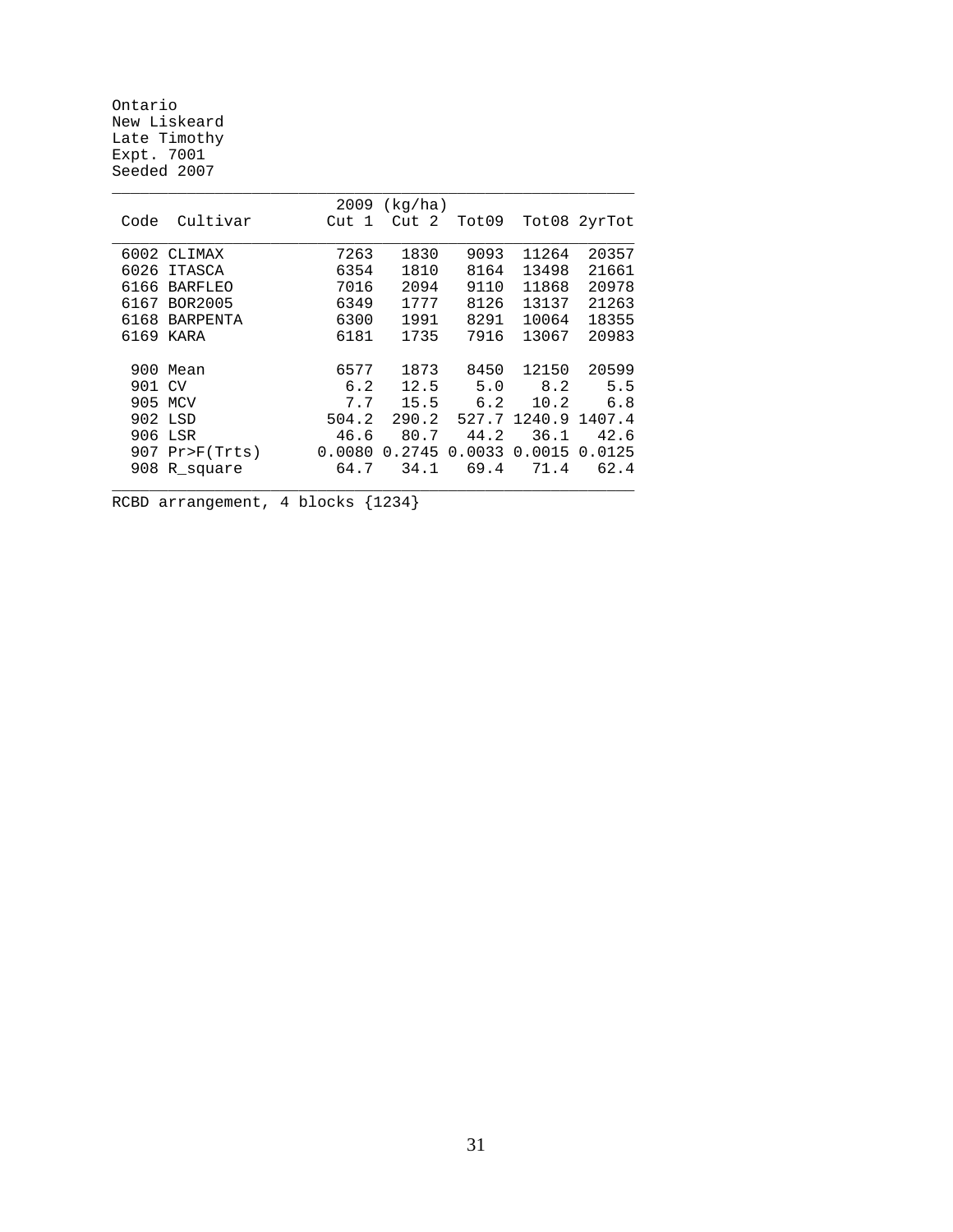Ontario New Liskeard Late Timothy Expt. 7001 Seeded 2007

|      |                 | 2009   | (kq/ha) |        |        |              |
|------|-----------------|--------|---------|--------|--------|--------------|
| Code | Cultivar        | Cut 1  | Cut 2   | Tot09  |        | Tot08 2yrTot |
|      |                 |        |         |        |        |              |
| 6002 | CLIMAX          | 7263   | 1830    | 9093   | 11264  | 20357        |
| 6026 | ITASCA          | 6354   | 1810    | 8164   | 13498  | 21661        |
| 6166 | <b>BARFLEO</b>  | 7016   | 2094    | 9110   | 11868  | 20978        |
| 6167 | <b>BOR2005</b>  | 6349   | 1777    | 8126   | 13137  | 21263        |
| 6168 | <b>BARPENTA</b> | 6300   | 1991    | 8291   | 10064  | 18355        |
| 6169 | KARA            | 6181   | 1735    | 7916   | 13067  | 20983        |
|      |                 |        |         |        |        |              |
| 900  | Mean            | 6577   | 1873    | 8450   | 12150  | 20599        |
| 901  | CV              | 6.2    | 12.5    | 5.0    | 8.2    | 5.5          |
| 905  | MCV             | 7.7    | 15.5    | 6.2    | 10.2   | 6.8          |
| 902. | LSD             | 504.2  | 290.2   | 527.7  | 1240.9 | 1407.4       |
| 906  | LSR             | 46.6   | 80.7    | 44.2   | 36.1   | 42.6         |
| 907  | Pr > F(Trts)    | 0.0080 | 0.2745  | 0.0033 | 0.0015 | 0.0125       |
| 908  | R square        | 64.7   | 34.1    | 69.4   | 71.4   | 62.4         |
|      |                 |        |         |        |        |              |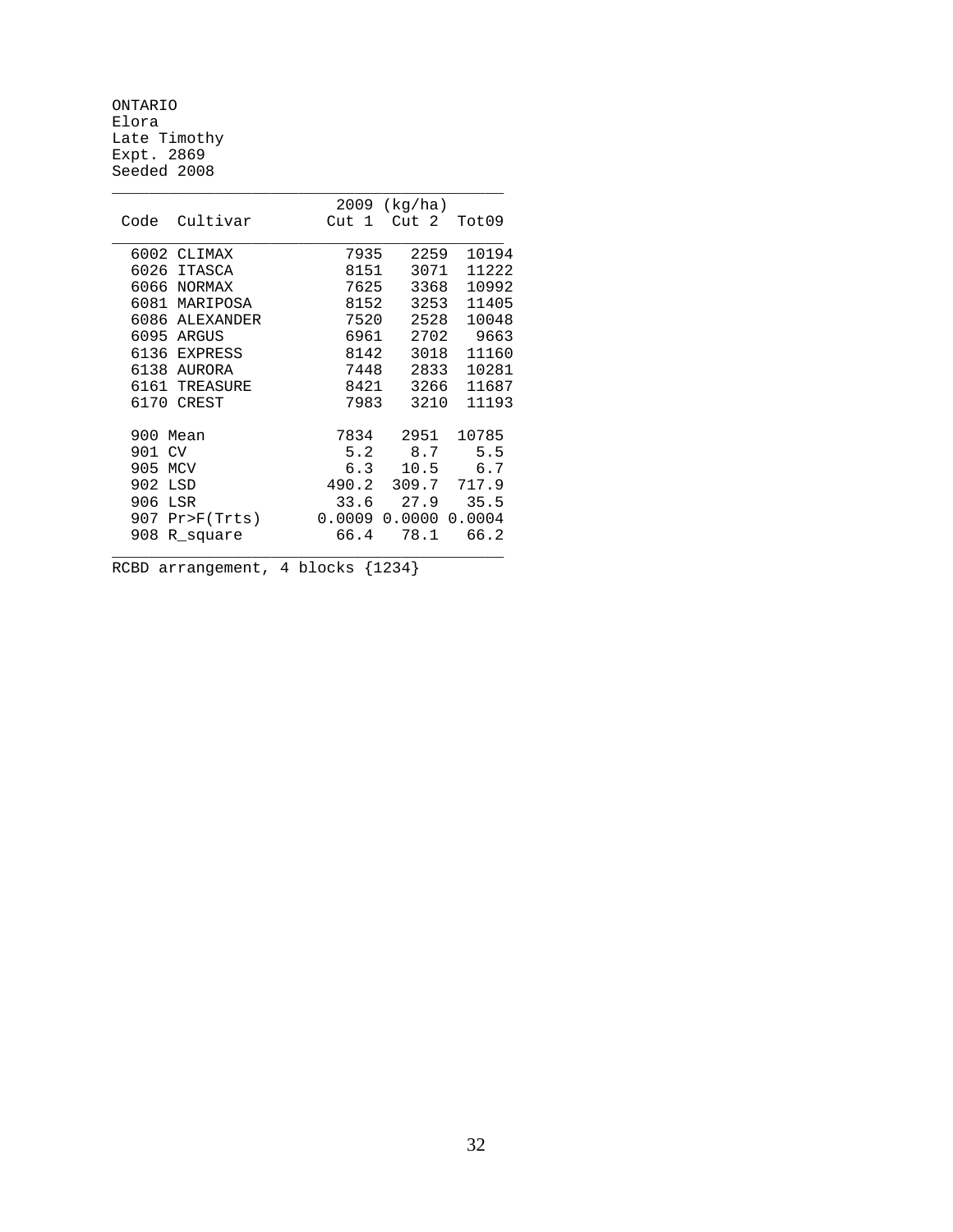ONTARIO Elora Late Timothy Expt. 2869 Seeded 2008

|      |               | 2009   | (kg/ha) |        |
|------|---------------|--------|---------|--------|
| Code | Cultivar      | Cut 1  | Cut 2   | Tot09  |
|      | 6002 CLIMAX   | 7935   | 2259    | 10194  |
| 6026 | ITASCA        | 8151   | 3071    | 11222  |
| 6066 | <b>NORMAX</b> | 7625   | 3368    | 10992  |
| 6081 | MARIPOSA      | 8152   | 3253    | 11405  |
| 6086 | ALEXANDER     | 7520   | 2528    | 10048  |
| 6095 | ARGUS         | 6961   | 2702    | 9663   |
|      | 6136 EXPRESS  | 8142   | 3018    | 11160  |
| 6138 | AURORA        | 7448   | 2833    | 10281  |
| 6161 | TREASURE      | 8421   | 3266    | 11687  |
| 6170 | CREST         | 7983   | 3210    | 11193  |
| 900  | Mean          | 7834   | 2951    | 10785  |
| 901  | <b>CV</b>     | 5.2    | 8.7     | 5.5    |
| 905  | MCV           | 6.3    | 10.5    | 6.7    |
| 902  | LSD           | 490.2  | 309.7   | 717.9  |
| 906  | LSR           | 33.6   | 27.9    | 35.5   |
| 907  | Pr > F(Trts)  | 0.0009 | 0.0000  | 0.0004 |
| 908  | R square      | 66.4   | 78.1    | 66.2   |
|      |               |        |         |        |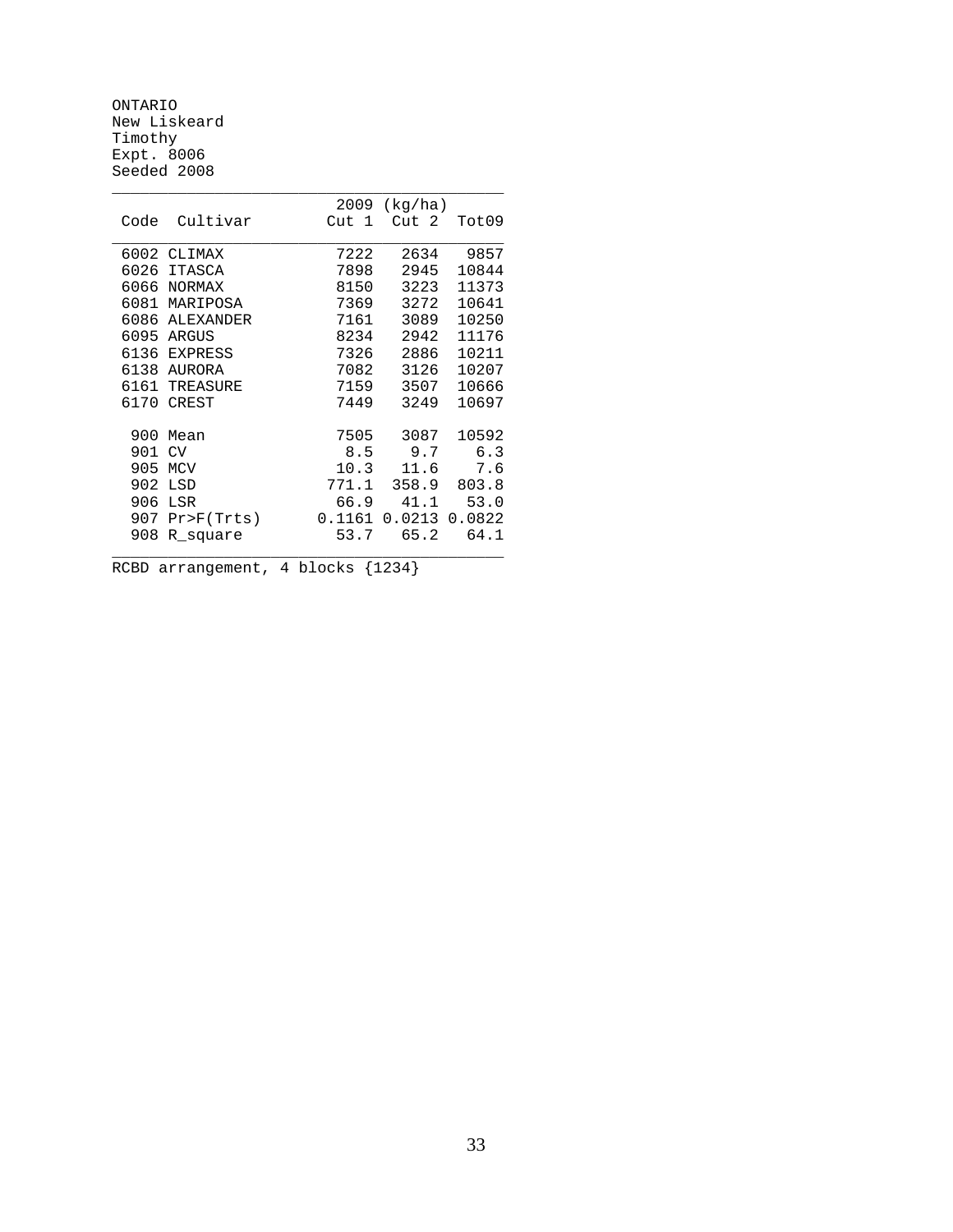ONTARIO New Liskeard Timothy Expt. 8006 Seeded 2008

|      |               | 2009             | (kq/ha)          |        |
|------|---------------|------------------|------------------|--------|
| Code | Cultivar      | Cut <sub>1</sub> | Cut <sub>2</sub> | Tot09  |
|      |               |                  |                  |        |
| 6002 | CLIMAX        | 7222             | 2634             | 9857   |
| 6026 | ITASCA        | 7898             | 2945             | 10844  |
| 6066 | <b>NORMAX</b> | 8150             | 3223             | 11373  |
| 6081 | MARIPOSA      | 7369             | 3272             | 10641  |
| 6086 | ALEXANDER     | 7161             | 3089             | 10250  |
| 6095 | ARGUS         | 8234             | 2942             | 11176  |
|      | 6136 EXPRESS  | 7326             | 2886             | 10211  |
| 6138 | AURORA        | 7082             | 3126             | 10207  |
| 6161 | TREASURE      | 7159             | 3507             | 10666  |
| 6170 | CREST         | 7449             | 3249             | 10697  |
|      |               |                  |                  |        |
| 900  | Mean          | 7505             | 3087             | 10592  |
| 901  | CV            | 8.5              | 9.7              | 6.3    |
| 905  | MCV           | 10.3             | 11.6             | 7.6    |
| 902  | LSD           | 771.1            | 358.9            | 803.8  |
| 906  | LSR           | 66.9             | 41.1             | 53.0   |
| 907  | Pr>F(Trts)    | 0.1161           | 0.0213           | 0.0822 |
| 908  | R square      | 53.7             | 65.2             | 64.1   |
|      |               |                  |                  |        |

RCBD arrangement, 4 blocks {1234}

33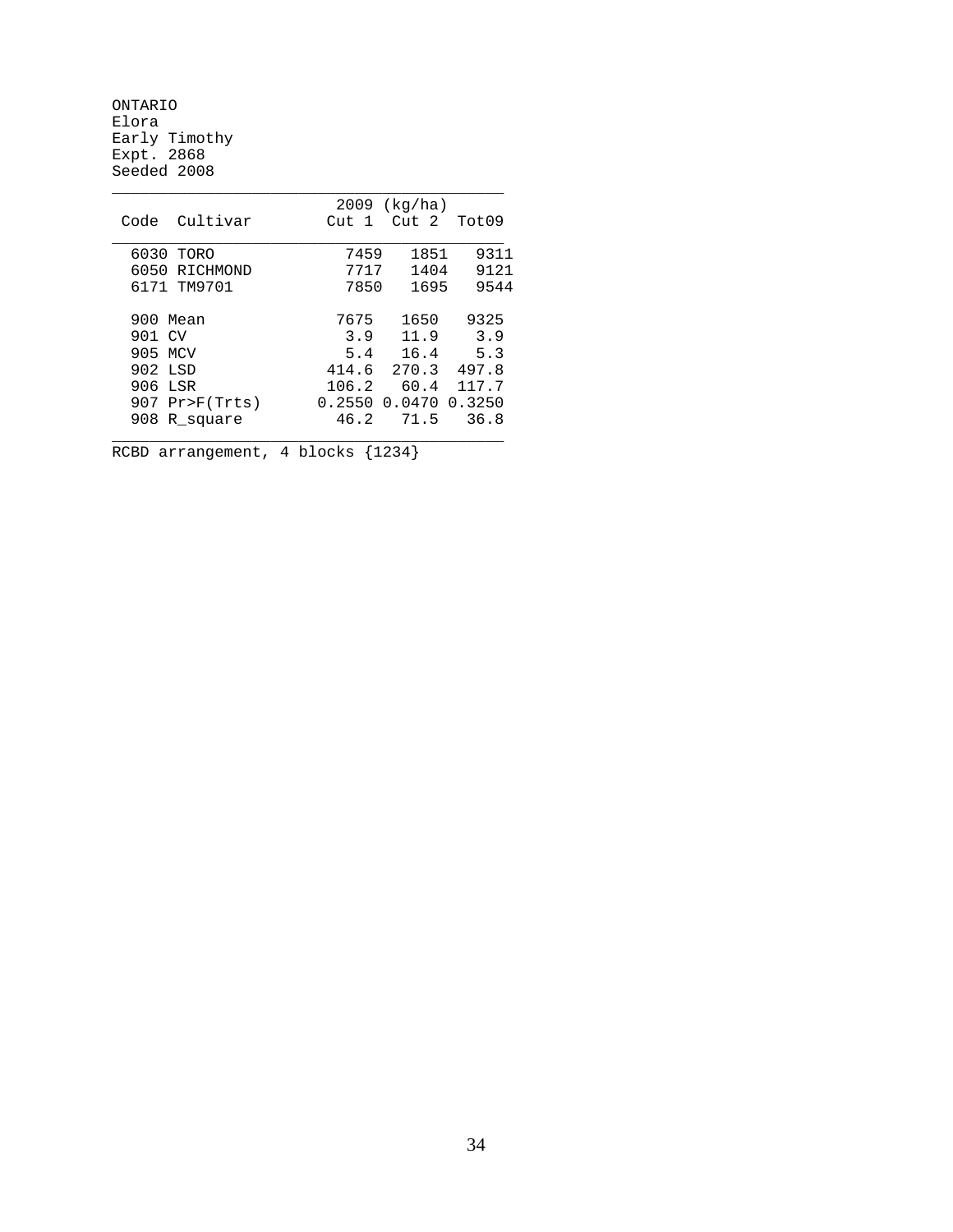ONTARIO Elora Early Timothy Expt. 2868 Seeded 2008

|                  | 2009                  | (kq/ha)          |        |
|------------------|-----------------------|------------------|--------|
| Cultivar<br>Code | $\overline{1}$<br>Cut | Cut <sub>2</sub> | Tot09  |
|                  |                       |                  |        |
| 6030<br>TORO     | 7459                  | 1851             | 9311   |
| 6050<br>RICHMOND | 7717                  | 1404             | 9121   |
| 6171 TM9701      | 7850                  | 1695             | 9544   |
| 900 Mean         | 7675                  | 1650             | 9325   |
| 901 CV           | 3.9                   | 11.9             | 3.9    |
| 905 MCV          | 5.4                   | 16.4             | 5.3    |
| 902 LSD          | 414.6                 | 270.3            | 497.8  |
| 906<br>LSR       | 106.2                 | 60.4             | 117.7  |
| 907 Pr>F(Trts)   | 0.2550                | 0.0470           | 0.3250 |
| 908<br>R square  | 46.2                  | 71.5             | 36.8   |
|                  |                       |                  |        |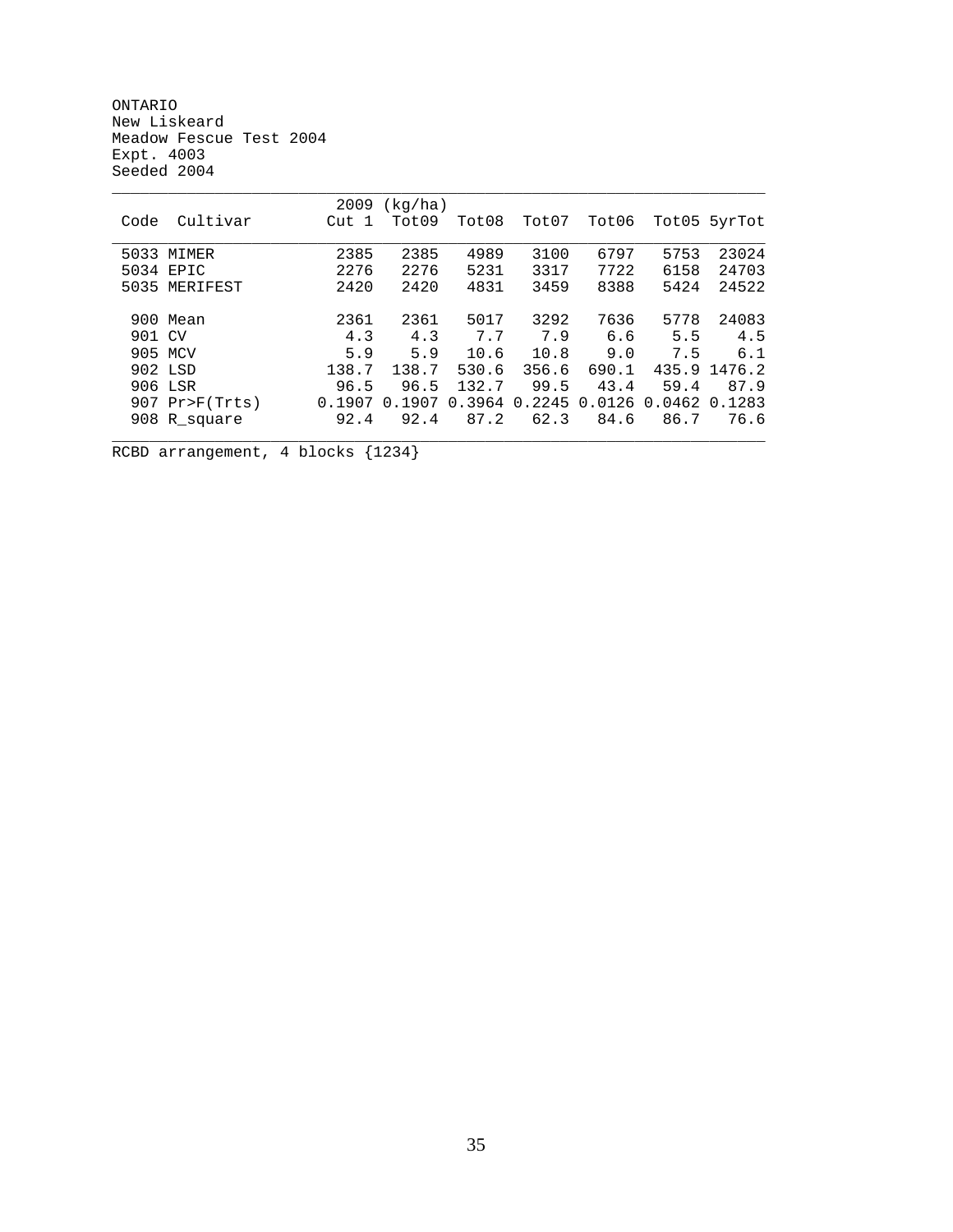ONTARIO New Liskeard Meadow Fescue Test 2004 Expt. 4003 Seeded 2004

|        |                  | 2009                | (kq/ha)           |        |                         |            |                  |              |
|--------|------------------|---------------------|-------------------|--------|-------------------------|------------|------------------|--------------|
| Code   | Cultivar         | Cut<br>$\mathbf{1}$ | Tot09             | Tot08  | Tot07                   | Tot06      |                  | Tot05 5yrTot |
|        |                  |                     |                   |        |                         |            |                  |              |
| 5033   | MIMER            | 2385                | 2385              | 4989   | 3100                    | 6797       | 5753             | 23024        |
| 5034   | EPIC             | 2276                | 2276              | 5231   | 3317                    | 7722       | 6158             | 24703        |
| 5035   | MERIFEST         | 2420                | 2420              | 4831   | 3459                    | 8388       | 5424             | 24522        |
|        |                  |                     |                   |        |                         |            |                  |              |
|        | 900 Mean         | 2361                | 2361              | 5017   | 3292                    | 7636       | 5778             | 24083        |
| 901 CV |                  | 4.3                 | 4.3               | 7.7    | 7.9                     | 6.6        | 5.5              | 4.5          |
|        | 905 MCV          | 5.9                 | 5.9               | 10.6   | 10.8                    | 9.0        | 7.5              | 6.1          |
|        | 902 LSD          | 138.7               | 138.7             | 530.6  | 356.6                   | 690.1      | 435.9            | 1476.2       |
|        | 906 LSR          | 96.5                | 96.5              | 132.7  | 99.5                    | 43.4       | 59.4             | 87.9         |
|        | $907$ Pr>F(Trts) | 0.1907              | .1907<br>$\Omega$ | 0.3964 | .2245<br>$\overline{0}$ | 0126<br>0. | 0462<br>$\Omega$ | 0.1283       |
|        | 908 R square     | 92.4                | 92.4              | 87.2   | 62.3                    | 84.6       | 86.7             | 76.6         |
|        |                  |                     |                   |        |                         |            |                  |              |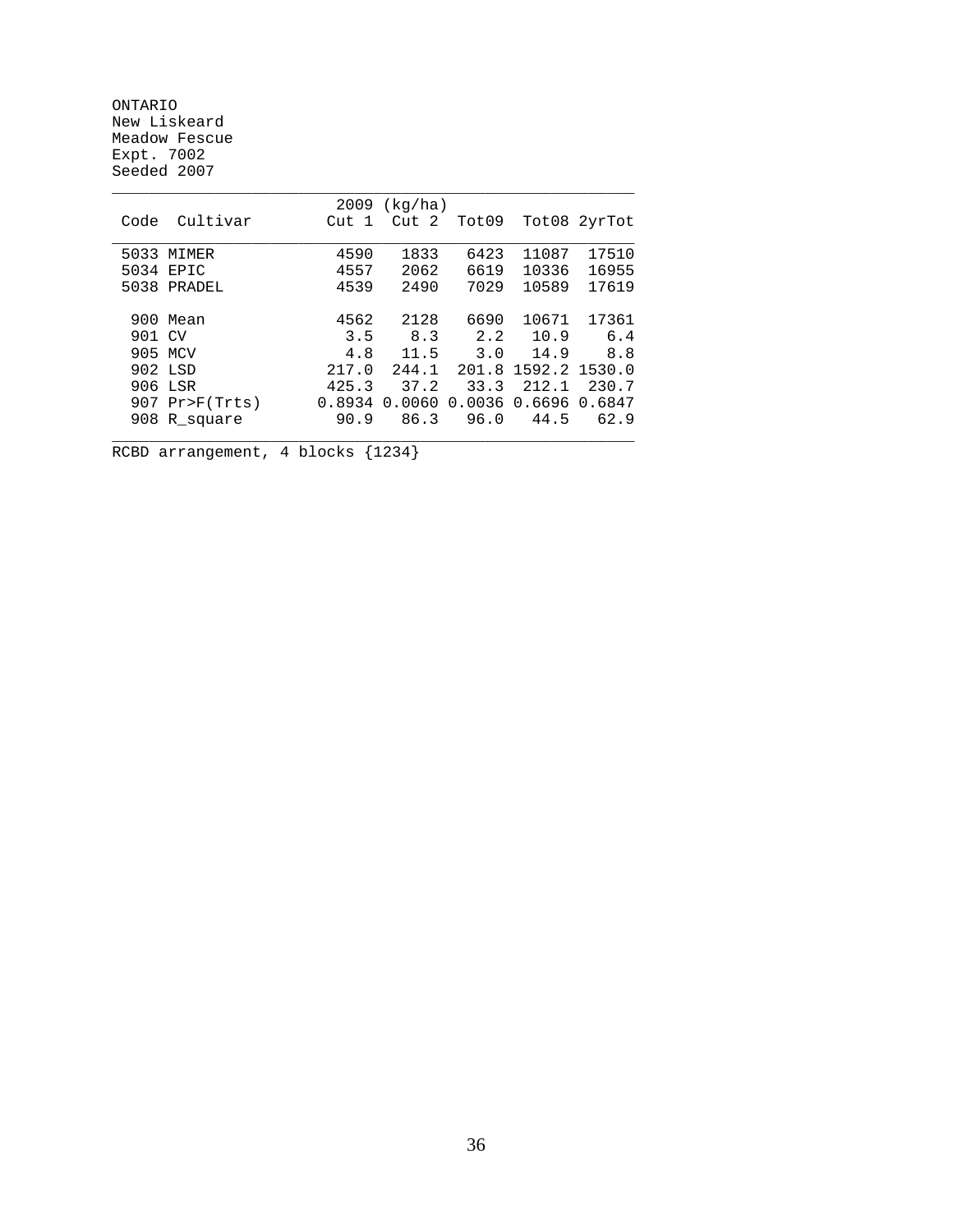ONTARIO New Liskeard Meadow Fescue Expt. 7002 Seeded 2007

|        |                  | 2009   | (kq/ha) |        |        |        |
|--------|------------------|--------|---------|--------|--------|--------|
| Code   | Cultivar         | Cut 1  | Cut 2   | Tot09  | Tot08  | 2yrTot |
|        |                  |        |         |        |        |        |
| 5033   | MIMER            | 4590   | 1833    | 6423   | 11087  | 17510  |
| 5034   | EPIC             | 4557   | 2062    | 6619   | 10336  | 16955  |
| 5038   | PRADEL           | 4539   | 2490    | 7029   | 10589  | 17619  |
|        |                  |        |         |        |        |        |
| 900    | Mean             | 4562   | 2128    | 6690   | 10671  | 17361  |
| 901 CV |                  | 3.5    | 8.3     | 2.2    | 10.9   | 6.4    |
|        | 905 MCV          | 4.8    | 11.5    | 3.0    | 14.9   | 8.8    |
|        | 902 LSD          | 217.0  | 244.1   | 201.8  | 1592.2 | 1530.0 |
|        | 906 LSR          | 425.3  | 37.2    | 33.3   | 212.1  | 230.7  |
|        | $907$ Pr>F(Trts) | 0.8934 | 0.0060  | 0.0036 | 0.6696 | 0.6847 |
|        | 908 R square     | 90.9   | 86.3    | 96.0   | 44.5   | 62.9   |
|        |                  |        |         |        |        |        |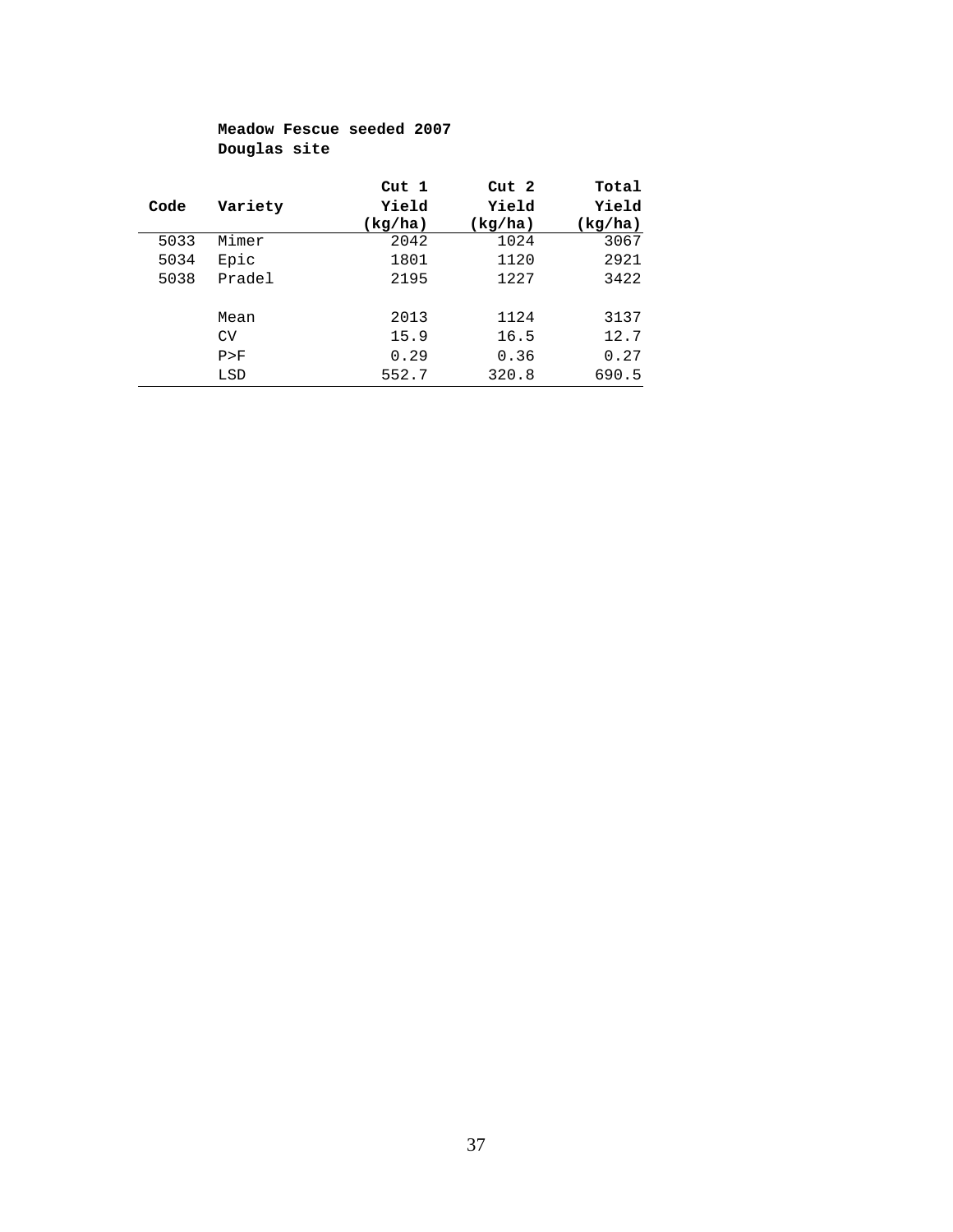### **Meadow Fescue seeded 2007 Douglas site**

|      |           | Cut 1   | Cut <sub>2</sub> | Total   |
|------|-----------|---------|------------------|---------|
| Code | Variety   | Yield   | Yield            | Yield   |
|      |           | (kq/ha) | (kg/ha)          | (kq/ha) |
| 5033 | Mimer     | 2042    | 1024             | 3067    |
| 5034 | Epic      | 1801    | 1120             | 2921    |
| 5038 | Pradel    | 2195    | 1227             | 3422    |
|      | Mean      | 2013    | 1124             | 3137    |
|      | <b>CV</b> | 15.9    | 16.5             | 12.7    |
|      | P > F     | 0.29    | 0.36             | 0.27    |
|      | LSD       | 552.7   | 320.8            | 690.5   |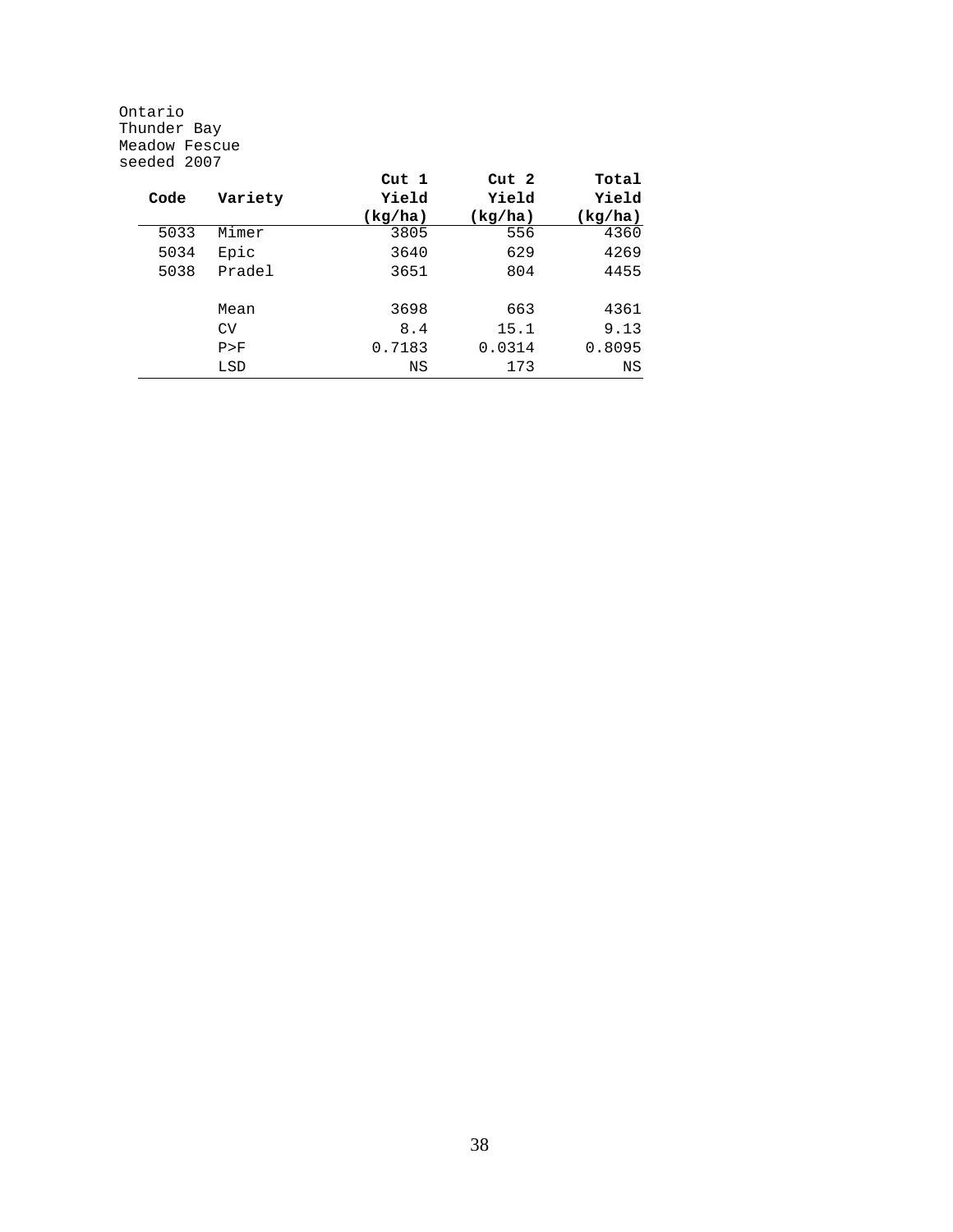Ontario Thunder Bay Meadow Fescue seeded 2007

|      |           | Cut 1   | Cut 2   | Total   |
|------|-----------|---------|---------|---------|
| Code | Variety   | Yield   | Yield   | Yield   |
|      |           | (kq/ha) | (kq/ha) | (kq/ha) |
| 5033 | Mimer     | 3805    | 556     | 4360    |
| 5034 | Epic      | 3640    | 629     | 4269    |
| 5038 | Pradel    | 3651    | 804     | 4455    |
|      | Mean      | 3698    | 663     | 4361    |
|      | <b>CV</b> | 8.4     | 15.1    | 9.13    |
|      | P > F     | 0.7183  | 0.0314  | 0.8095  |
|      | LSD       | ΝS      | 173     | ΝS      |
|      |           |         |         |         |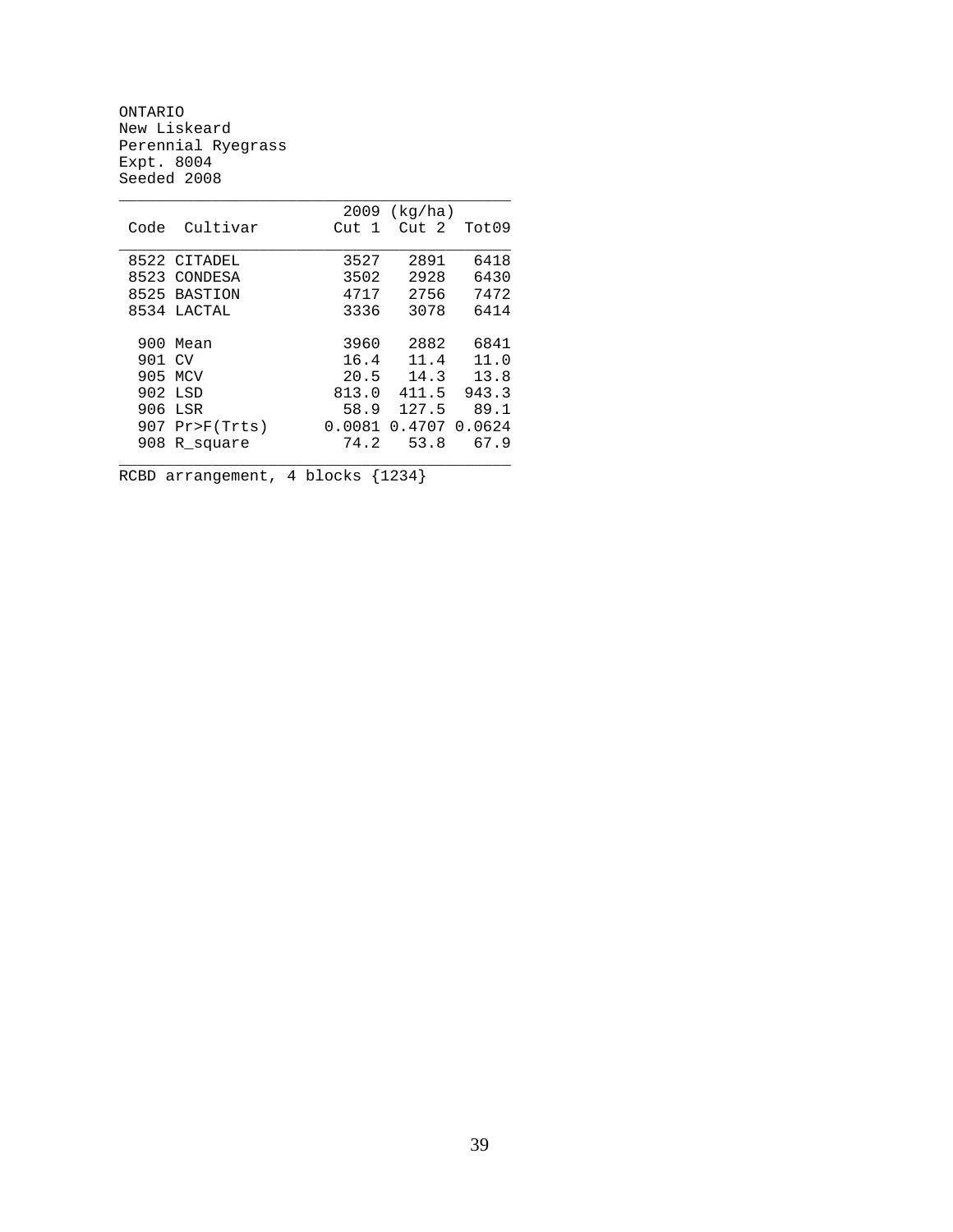ONTARIO New Liskeard Perennial Ryegrass Expt. 8004 Seeded 2008

|      |                | 2009             | (kq/ha)          |        |
|------|----------------|------------------|------------------|--------|
| Code | Cultivar       | Cut <sub>1</sub> | Cut <sub>2</sub> | Tot09  |
|      |                |                  |                  |        |
|      | 8522 CITADEL   | 3527             | 2891             | 6418   |
| 8523 | CONDESA        | 3502             | 2928             | 6430   |
| 8525 | <b>BASTION</b> | 4717             | 2756             | 7472   |
|      | 8534 LACTAL    | 3336             | 3078             | 6414   |
|      |                |                  |                  |        |
| 900  | Mean           | 3960             | 2882             | 6841   |
| 901  | CV             | 16.4             | 11.4             | 11.0   |
| 905  | MCV            | 20.5             | 14.3             | 13.8   |
| 902. | LSD            | 813.0            | 411.5            | 943.3  |
| 906  | LSR            | 58.9             | 127.5            | 89.1   |
| 907  | $Pr$ $F(Trts)$ | 0.0081           | 0.4707           | 0.0624 |
| 908  | R square       | 74.2             | 53.8             | 67.9   |
|      |                |                  |                  |        |
|      |                |                  |                  |        |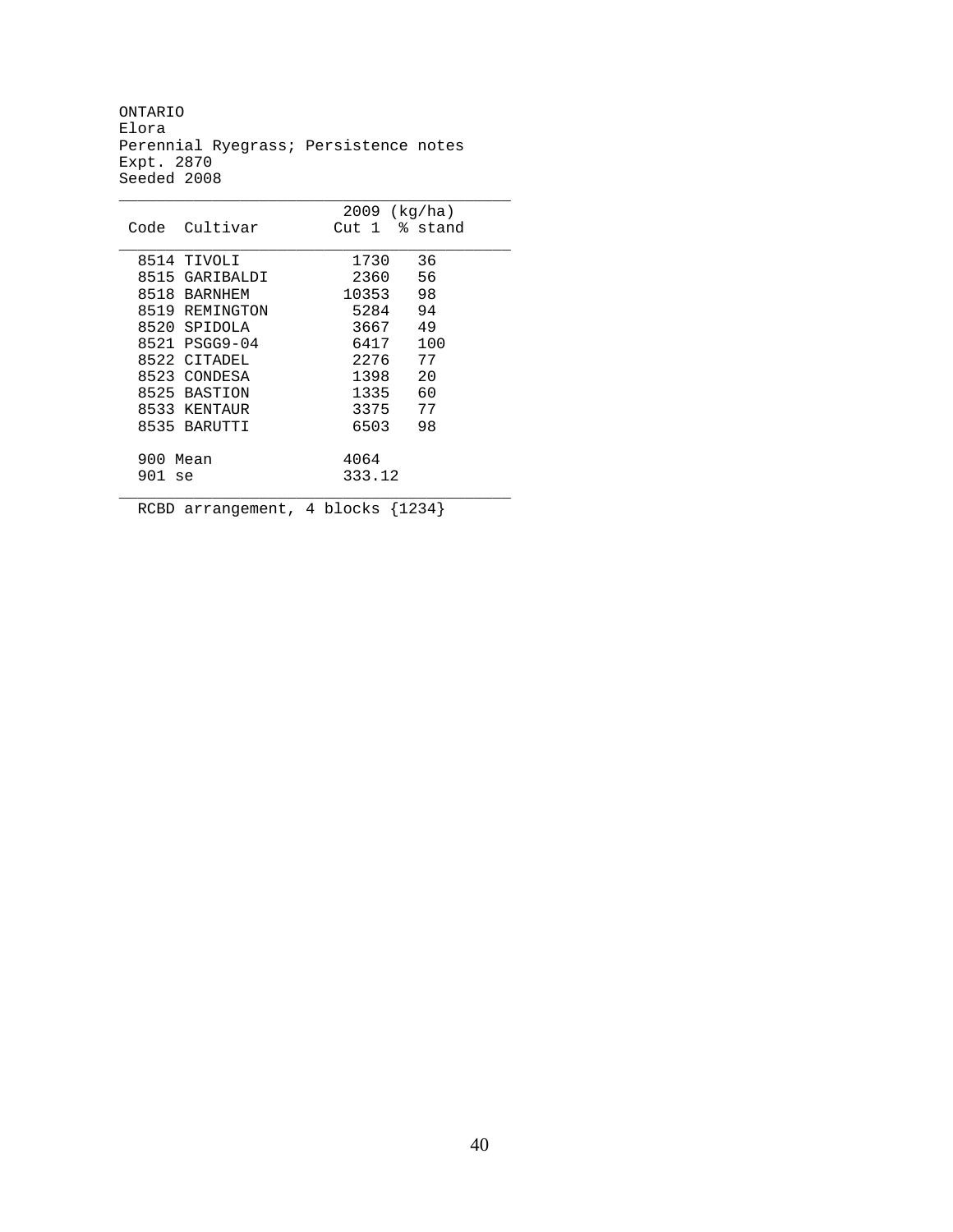ONTARIO Elora Perennial Ryegrass; Persistence notes Expt. 2870 Seeded 2008

|      |                | 2009             | (kq/ha) |
|------|----------------|------------------|---------|
| Code | Cultivar       | Cut <sub>1</sub> | % stand |
|      |                |                  |         |
| 8514 | TIVOLI         | 1730             | 36      |
| 8515 | GARIBALDI      | 2360             | 56      |
| 8518 | <b>BARNHEM</b> | 10353            | 98      |
| 8519 | REMINGTON      | 5284             | 94      |
| 8520 | SPIDOLA        | 3667             | 49      |
| 8521 | $PGG9-04$      | 6417             | 100     |
| 8522 | CITADEL        | 2276             | 77      |
| 8523 | CONDESA        | 1398             | 2.0     |
| 8525 | <b>BASTION</b> | 1335             | 60      |
| 8533 | KENTAUR        | 3375             | 77      |
|      | 8535 BARUTTI   | 6503             | 98      |
|      |                |                  |         |
| 900  | Mean           | 4064             |         |
| 901  | $S^e$          | 333.12           |         |
|      |                |                  |         |